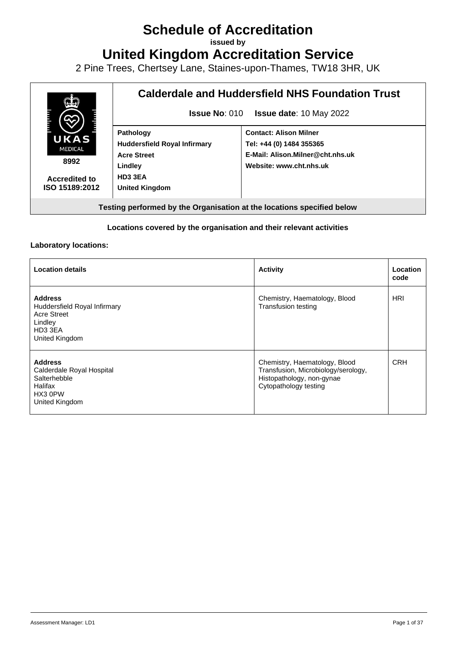# **Schedule of Accreditation**

**issued by**

**United Kingdom Accreditation Service**

2 Pine Trees, Chertsey Lane, Staines-upon-Thames, TW18 3HR, UK



# **Testing performed by the Organisation at the locations specified below**

#### **Locations covered by the organisation and their relevant activities**

#### **Laboratory locations:**

| <b>Location details</b>                                                                                      | <b>Activity</b>                                                                                                            | Location<br>code |
|--------------------------------------------------------------------------------------------------------------|----------------------------------------------------------------------------------------------------------------------------|------------------|
| <b>Address</b><br>Huddersfield Royal Infirmary<br><b>Acre Street</b><br>Lindley<br>HD3 3EA<br>United Kingdom | Chemistry, Haematology, Blood<br><b>Transfusion testing</b>                                                                | <b>HRI</b>       |
| <b>Address</b><br>Calderdale Royal Hospital<br>Salterhebble<br>Halifax<br>HX3 0PW<br>United Kingdom          | Chemistry, Haematology, Blood<br>Transfusion, Microbiology/serology,<br>Histopathology, non-gynae<br>Cytopathology testing | <b>CRH</b>       |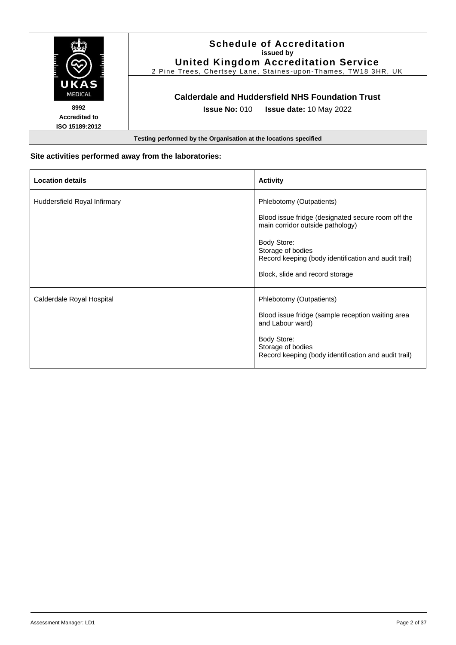|                                                | <b>Schedule of Accreditation</b><br>issued by<br><b>United Kingdom Accreditation Service</b><br>2 Pine Trees, Chertsey Lane, Staines-upon-Thames, TW18 3HR, UK |
|------------------------------------------------|----------------------------------------------------------------------------------------------------------------------------------------------------------------|
| UKAS<br><b>MEDICAL</b>                         | <b>Calderdale and Huddersfield NHS Foundation Trust</b>                                                                                                        |
| 8992<br><b>Accredited to</b><br>ISO 15189:2012 | <b>Issue No: 010</b><br><b>Issue date: 10 May 2022</b>                                                                                                         |

# **Site activities performed away from the laboratories:**

| <b>Location details</b>      | <b>Activity</b>                                                                          |
|------------------------------|------------------------------------------------------------------------------------------|
| Huddersfield Royal Infirmary | Phlebotomy (Outpatients)                                                                 |
|                              | Blood issue fridge (designated secure room off the<br>main corridor outside pathology)   |
|                              | Body Store:<br>Storage of bodies<br>Record keeping (body identification and audit trail) |
|                              | Block, slide and record storage                                                          |
| Calderdale Royal Hospital    | Phlebotomy (Outpatients)                                                                 |
|                              | Blood issue fridge (sample reception waiting area<br>and Labour ward)                    |
|                              | Body Store:<br>Storage of bodies<br>Record keeping (body identification and audit trail) |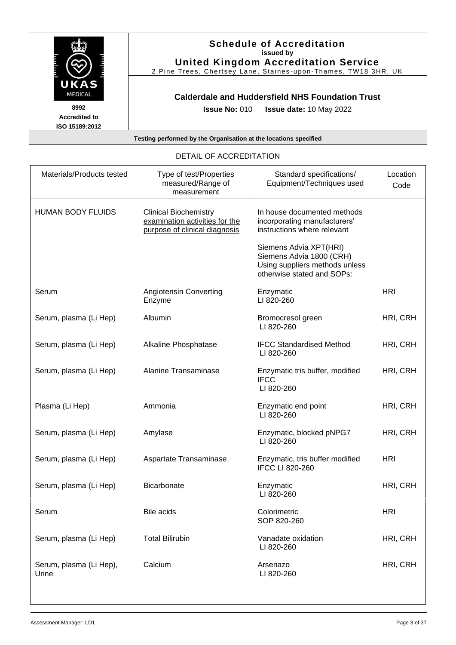

| Materials/Products tested        | Type of test/Properties<br>measured/Range of<br>measurement                                     | Standard specifications/<br>Equipment/Techniques used                                                              | Location<br>Code |
|----------------------------------|-------------------------------------------------------------------------------------------------|--------------------------------------------------------------------------------------------------------------------|------------------|
| <b>HUMAN BODY FLUIDS</b>         | <b>Clinical Biochemistry</b><br>examination activities for the<br>purpose of clinical diagnosis | In house documented methods<br>incorporating manufacturers'<br>instructions where relevant                         |                  |
|                                  |                                                                                                 | Siemens Advia XPT(HRI)<br>Siemens Advia 1800 (CRH)<br>Using suppliers methods unless<br>otherwise stated and SOPs: |                  |
| Serum                            | <b>Angiotensin Converting</b><br>Enzyme                                                         | Enzymatic<br>LI 820-260                                                                                            | <b>HRI</b>       |
| Serum, plasma (Li Hep)           | Albumin                                                                                         | Bromocresol green<br>LI 820-260                                                                                    | HRI, CRH         |
| Serum, plasma (Li Hep)           | Alkaline Phosphatase                                                                            | <b>IFCC Standardised Method</b><br>LI 820-260                                                                      | HRI, CRH         |
| Serum, plasma (Li Hep)           | Alanine Transaminase                                                                            | Enzymatic tris buffer, modified<br><b>IFCC</b><br>LI 820-260                                                       | HRI, CRH         |
| Plasma (Li Hep)                  | Ammonia                                                                                         | Enzymatic end point<br>LI 820-260                                                                                  | HRI, CRH         |
| Serum, plasma (Li Hep)           | Amylase                                                                                         | Enzymatic, blocked pNPG7<br>LI 820-260                                                                             | HRI, CRH         |
| Serum, plasma (Li Hep)           | Aspartate Transaminase                                                                          | Enzymatic, tris buffer modified<br><b>IFCC LI 820-260</b>                                                          | <b>HRI</b>       |
| Serum, plasma (Li Hep)           | <b>Bicarbonate</b>                                                                              | Enzymatic<br>LI 820-260                                                                                            | HRI, CRH         |
| Serum                            | Bile acids                                                                                      | Colorimetric<br>SOP 820-260                                                                                        | <b>HRI</b>       |
| Serum, plasma (Li Hep)           | <b>Total Bilirubin</b>                                                                          | Vanadate oxidation<br>LI 820-260                                                                                   | HRI, CRH         |
| Serum, plasma (Li Hep),<br>Urine | Calcium                                                                                         | Arsenazo<br>LI 820-260                                                                                             | HRI, CRH         |

# DETAIL OF ACCREDITATION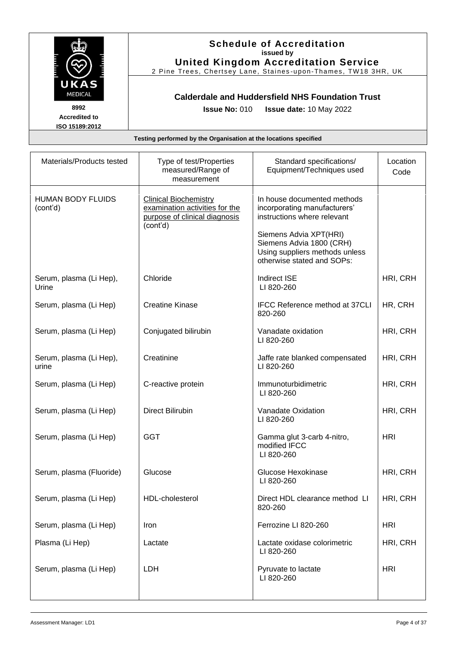

**Schedule of Accreditation issued by United Kingdom Accreditation Service**

2 Pine Trees, Chertsey Lane, Staines -upon-Thames, TW18 3HR, UK

# **Calderdale and Huddersfield NHS Foundation Trust**

**Issue No:** 010 **Issue date:** 10 May 2022

| Materials/Products tested            | Type of test/Properties<br>measured/Range of<br>measurement                                                 | Standard specifications/<br>Equipment/Techniques used                                                                                                                                                            | Location<br>Code |
|--------------------------------------|-------------------------------------------------------------------------------------------------------------|------------------------------------------------------------------------------------------------------------------------------------------------------------------------------------------------------------------|------------------|
| <b>HUMAN BODY FLUIDS</b><br>(cont'd) | <b>Clinical Biochemistry</b><br>examination activities for the<br>purpose of clinical diagnosis<br>(cont'd) | In house documented methods<br>incorporating manufacturers'<br>instructions where relevant<br>Siemens Advia XPT(HRI)<br>Siemens Advia 1800 (CRH)<br>Using suppliers methods unless<br>otherwise stated and SOPs: |                  |
| Serum, plasma (Li Hep),<br>Urine     | Chloride                                                                                                    | Indirect ISE<br>LI 820-260                                                                                                                                                                                       | HRI, CRH         |
| Serum, plasma (Li Hep)               | <b>Creatine Kinase</b>                                                                                      | IFCC Reference method at 37CLI<br>820-260                                                                                                                                                                        | HR, CRH          |
| Serum, plasma (Li Hep)               | Conjugated bilirubin                                                                                        | Vanadate oxidation<br>LI 820-260                                                                                                                                                                                 | HRI, CRH         |
| Serum, plasma (Li Hep),<br>urine     | Creatinine                                                                                                  | Jaffe rate blanked compensated<br>LI 820-260                                                                                                                                                                     | HRI, CRH         |
| Serum, plasma (Li Hep)               | C-reactive protein                                                                                          | Immunoturbidimetric<br>LI 820-260                                                                                                                                                                                | HRI, CRH         |
| Serum, plasma (Li Hep)               | <b>Direct Bilirubin</b>                                                                                     | Vanadate Oxidation<br>LI 820-260                                                                                                                                                                                 | HRI, CRH         |
| Serum, plasma (Li Hep)               | <b>GGT</b>                                                                                                  | Gamma glut 3-carb 4-nitro,<br>modified IFCC<br>LI 820-260                                                                                                                                                        | <b>HRI</b>       |
| Serum, plasma (Fluoride)             | Glucose                                                                                                     | Glucose Hexokinase<br>LI 820-260                                                                                                                                                                                 | HRI, CRH         |
| Serum, plasma (Li Hep)               | HDL-cholesterol                                                                                             | Direct HDL clearance method LI<br>820-260                                                                                                                                                                        | HRI, CRH         |
| Serum, plasma (Li Hep)               | Iron                                                                                                        | Ferrozine LI 820-260                                                                                                                                                                                             | <b>HRI</b>       |
| Plasma (Li Hep)                      | Lactate                                                                                                     | Lactate oxidase colorimetric<br>LI 820-260                                                                                                                                                                       | HRI, CRH         |
| Serum, plasma (Li Hep)               | LDH                                                                                                         | Pyruvate to lactate<br>LI 820-260                                                                                                                                                                                | <b>HRI</b>       |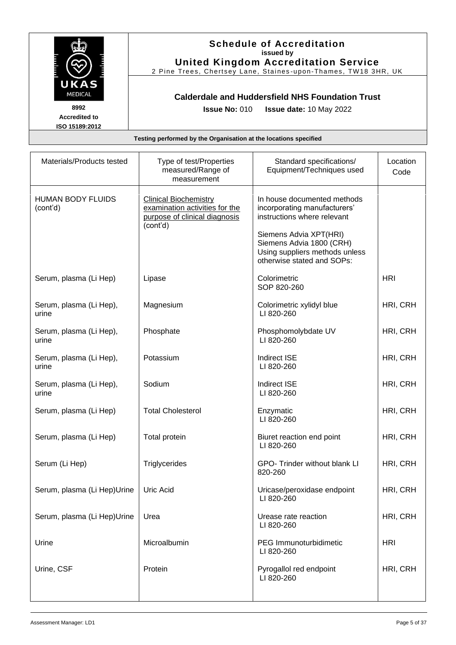

**Schedule of Accreditation issued by United Kingdom Accreditation Service**

2 Pine Trees, Chertsey Lane, Staines -upon-Thames, TW18 3HR, UK

# **Calderdale and Huddersfield NHS Foundation Trust**

**Issue No:** 010 **Issue date:** 10 May 2022

| Materials/Products tested            | Type of test/Properties<br>measured/Range of<br>measurement                                                 | Standard specifications/<br>Equipment/Techniques used                                                                                                                                                            | Location<br>Code |
|--------------------------------------|-------------------------------------------------------------------------------------------------------------|------------------------------------------------------------------------------------------------------------------------------------------------------------------------------------------------------------------|------------------|
| <b>HUMAN BODY FLUIDS</b><br>(cont'd) | <b>Clinical Biochemistry</b><br>examination activities for the<br>purpose of clinical diagnosis<br>(cont'd) | In house documented methods<br>incorporating manufacturers'<br>instructions where relevant<br>Siemens Advia XPT(HRI)<br>Siemens Advia 1800 (CRH)<br>Using suppliers methods unless<br>otherwise stated and SOPs: |                  |
| Serum, plasma (Li Hep)               | Lipase                                                                                                      | Colorimetric<br>SOP 820-260                                                                                                                                                                                      | <b>HRI</b>       |
| Serum, plasma (Li Hep),<br>urine     | Magnesium                                                                                                   | Colorimetric xylidyl blue<br>LI 820-260                                                                                                                                                                          | HRI, CRH         |
| Serum, plasma (Li Hep),<br>urine     | Phosphate                                                                                                   | Phosphomolybdate UV<br>LI 820-260                                                                                                                                                                                | HRI, CRH         |
| Serum, plasma (Li Hep),<br>urine     | Potassium                                                                                                   | <b>Indirect ISE</b><br>LI 820-260                                                                                                                                                                                | HRI, CRH         |
| Serum, plasma (Li Hep),<br>urine     | Sodium                                                                                                      | <b>Indirect ISE</b><br>LI 820-260                                                                                                                                                                                | HRI, CRH         |
| Serum, plasma (Li Hep)               | <b>Total Cholesterol</b>                                                                                    | Enzymatic<br>LI 820-260                                                                                                                                                                                          | HRI, CRH         |
| Serum, plasma (Li Hep)               | Total protein                                                                                               | Biuret reaction end point<br>LI 820-260                                                                                                                                                                          | HRI, CRH         |
| Serum (Li Hep)                       | Triglycerides                                                                                               | GPO- Trinder without blank LI<br>820-260                                                                                                                                                                         | HRI, CRH         |
| Serum, plasma (Li Hep) Urine         | Uric Acid                                                                                                   | Uricase/peroxidase endpoint<br>LI 820-260                                                                                                                                                                        | HRI, CRH         |
| Serum, plasma (Li Hep)Urine          | Urea                                                                                                        | Urease rate reaction<br>LI 820-260                                                                                                                                                                               | HRI, CRH         |
| Urine                                | Microalbumin                                                                                                | <b>PEG Immunoturbidimetic</b><br>LI 820-260                                                                                                                                                                      | <b>HRI</b>       |
| Urine, CSF                           | Protein                                                                                                     | Pyrogallol red endpoint<br>LI 820-260                                                                                                                                                                            | HRI, CRH         |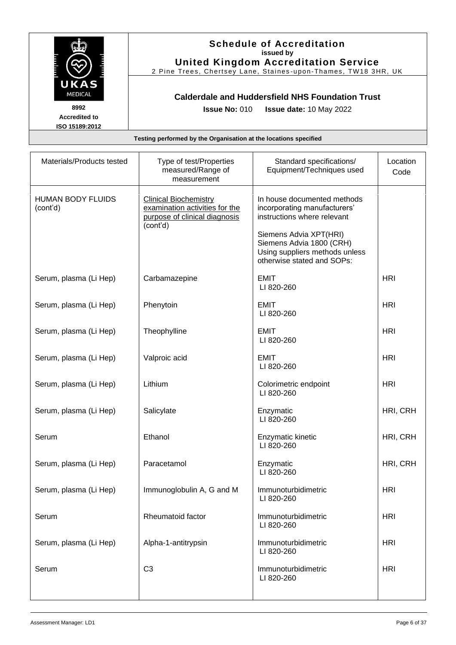|                                                | <b>Schedule of Accreditation</b><br>issued by<br><b>United Kingdom Accreditation Service</b><br>2 Pine Trees, Chertsey Lane, Staines-upon-Thames, TW18 3HR, UK |
|------------------------------------------------|----------------------------------------------------------------------------------------------------------------------------------------------------------------|
| UKAS<br><b>MEDICAL</b>                         | Calderdale and Huddersfield NHS Foundation Trust                                                                                                               |
| 8992<br><b>Accredited to</b><br>ISO 15189:2012 | <b>Issue No: <math>010</math></b><br><b>Issue date: 10 May 2022</b>                                                                                            |
|                                                | Testing performed by the Organisation at the locations specified                                                                                               |

| Materials/Products tested            | Type of test/Properties<br>measured/Range of<br>measurement                                                 | Standard specifications/<br>Equipment/Techniques used                                                                                                                                                            | Location<br>Code |
|--------------------------------------|-------------------------------------------------------------------------------------------------------------|------------------------------------------------------------------------------------------------------------------------------------------------------------------------------------------------------------------|------------------|
| <b>HUMAN BODY FLUIDS</b><br>(cont'd) | <b>Clinical Biochemistry</b><br>examination activities for the<br>purpose of clinical diagnosis<br>(cont'd) | In house documented methods<br>incorporating manufacturers'<br>instructions where relevant<br>Siemens Advia XPT(HRI)<br>Siemens Advia 1800 (CRH)<br>Using suppliers methods unless<br>otherwise stated and SOPs: |                  |
| Serum, plasma (Li Hep)               | Carbamazepine                                                                                               | <b>EMIT</b><br>LI 820-260                                                                                                                                                                                        | <b>HRI</b>       |
| Serum, plasma (Li Hep)               | Phenytoin                                                                                                   | <b>EMIT</b><br>LI 820-260                                                                                                                                                                                        | <b>HRI</b>       |
| Serum, plasma (Li Hep)               | Theophylline                                                                                                | <b>EMIT</b><br>LI 820-260                                                                                                                                                                                        | <b>HRI</b>       |
| Serum, plasma (Li Hep)               | Valproic acid                                                                                               | <b>EMIT</b><br>LI 820-260                                                                                                                                                                                        | <b>HRI</b>       |
| Serum, plasma (Li Hep)               | Lithium                                                                                                     | Colorimetric endpoint<br>LI 820-260                                                                                                                                                                              | <b>HRI</b>       |
| Serum, plasma (Li Hep)               | Salicylate                                                                                                  | Enzymatic<br>LI 820-260                                                                                                                                                                                          | HRI, CRH         |
| Serum                                | Ethanol                                                                                                     | Enzymatic kinetic<br>LI 820-260                                                                                                                                                                                  | HRI, CRH         |
| Serum, plasma (Li Hep)               | Paracetamol                                                                                                 | Enzymatic<br>LI 820-260                                                                                                                                                                                          | HRI, CRH         |
| Serum, plasma (Li Hep)               | Immunoglobulin A, G and M                                                                                   | Immunoturbidimetric<br>LI 820-260                                                                                                                                                                                | <b>HRI</b>       |
| Serum                                | Rheumatoid factor                                                                                           | Immunoturbidimetric<br>LI 820-260                                                                                                                                                                                | <b>HRI</b>       |
| Serum, plasma (Li Hep)               | Alpha-1-antitrypsin                                                                                         | Immunoturbidimetric<br>LI 820-260                                                                                                                                                                                | <b>HRI</b>       |
| Serum                                | C <sub>3</sub>                                                                                              | Immunoturbidimetric<br>LI 820-260                                                                                                                                                                                | <b>HRI</b>       |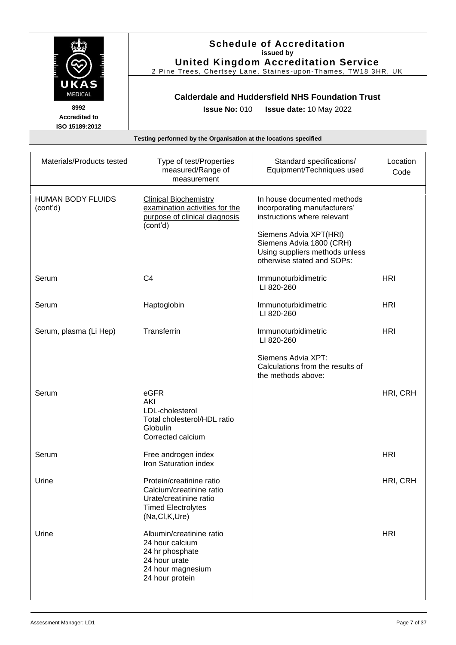|                                                | <b>Schedule of Accreditation</b><br>issued by<br><b>United Kingdom Accreditation Service</b><br>2 Pine Trees, Chertsey Lane, Staines-upon-Thames, TW18 3HR, UK |
|------------------------------------------------|----------------------------------------------------------------------------------------------------------------------------------------------------------------|
| UKAS<br><b>MEDICAL</b>                         | Calderdale and Huddersfield NHS Foundation Trust                                                                                                               |
| 8992<br><b>Accredited to</b><br>ISO 15189:2012 | <b>Issue No: <math>010</math></b><br><b>Issue date: 10 May 2022</b>                                                                                            |
|                                                | Testing performed by the Organisation at the locations specified                                                                                               |

| Materials/Products tested            | Type of test/Properties<br>measured/Range of<br>measurement                                                                  | Standard specifications/<br>Equipment/Techniques used                                                                                                                                                            | Location<br>Code |
|--------------------------------------|------------------------------------------------------------------------------------------------------------------------------|------------------------------------------------------------------------------------------------------------------------------------------------------------------------------------------------------------------|------------------|
| <b>HUMAN BODY FLUIDS</b><br>(cont'd) | <b>Clinical Biochemistry</b><br>examination activities for the<br>purpose of clinical diagnosis<br>(cont'd)                  | In house documented methods<br>incorporating manufacturers'<br>instructions where relevant<br>Siemens Advia XPT(HRI)<br>Siemens Advia 1800 (CRH)<br>Using suppliers methods unless<br>otherwise stated and SOPs: |                  |
| Serum                                | C <sub>4</sub>                                                                                                               | Immunoturbidimetric<br>LI 820-260                                                                                                                                                                                | <b>HRI</b>       |
| Serum                                | Haptoglobin                                                                                                                  | Immunoturbidimetric<br>LI 820-260                                                                                                                                                                                | <b>HRI</b>       |
| Serum, plasma (Li Hep)               | Transferrin                                                                                                                  | Immunoturbidimetric<br>LI 820-260                                                                                                                                                                                | <b>HRI</b>       |
|                                      |                                                                                                                              | Siemens Advia XPT:<br>Calculations from the results of<br>the methods above:                                                                                                                                     |                  |
| Serum                                | eGFR<br><b>AKI</b><br>LDL-cholesterol<br>Total cholesterol/HDL ratio<br>Globulin<br>Corrected calcium                        |                                                                                                                                                                                                                  | HRI, CRH         |
| Serum                                | Free androgen index<br>Iron Saturation index                                                                                 |                                                                                                                                                                                                                  | <b>HRI</b>       |
| Urine                                | Protein/creatinine ratio<br>Calcium/creatinine ratio<br>Urate/creatinine ratio<br><b>Timed Electrolytes</b><br>(Na,CI,K,Ure) |                                                                                                                                                                                                                  | HRI, CRH         |
| Urine                                | Albumin/creatinine ratio<br>24 hour calcium<br>24 hr phosphate<br>24 hour urate<br>24 hour magnesium<br>24 hour protein      |                                                                                                                                                                                                                  | <b>HRI</b>       |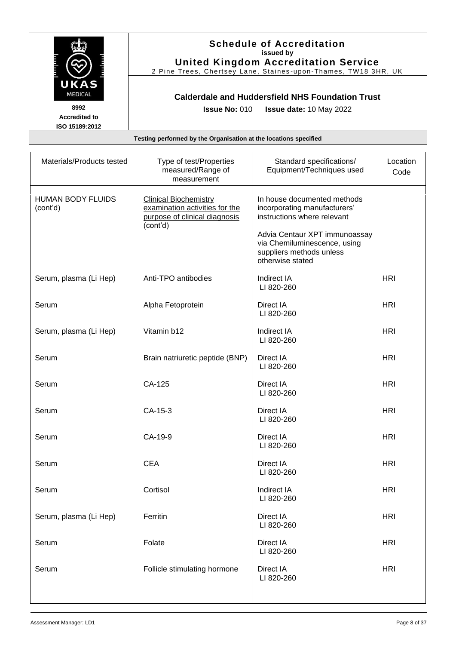|                                                | <b>Schedule of Accreditation</b><br>issued by<br><b>United Kingdom Accreditation Service</b><br>2 Pine Trees, Chertsey Lane, Staines-upon-Thames, TW18 3HR, UK |
|------------------------------------------------|----------------------------------------------------------------------------------------------------------------------------------------------------------------|
| UKAS<br><b>MEDICAL</b>                         | Calderdale and Huddersfield NHS Foundation Trust                                                                                                               |
| 8992<br><b>Accredited to</b><br>ISO 15189:2012 | <b>Issue No: <math>010</math></b><br><b>Issue date: 10 May 2022</b>                                                                                            |
|                                                | Testing performed by the Organisation at the locations specified                                                                                               |

| Materials/Products tested            | Type of test/Properties<br>measured/Range of<br>measurement                                                 | Standard specifications/<br>Equipment/Techniques used                                                                                                                                                       | Location<br>Code |
|--------------------------------------|-------------------------------------------------------------------------------------------------------------|-------------------------------------------------------------------------------------------------------------------------------------------------------------------------------------------------------------|------------------|
| <b>HUMAN BODY FLUIDS</b><br>(cont'd) | <b>Clinical Biochemistry</b><br>examination activities for the<br>purpose of clinical diagnosis<br>(cont'd) | In house documented methods<br>incorporating manufacturers'<br>instructions where relevant<br>Advia Centaur XPT immunoassay<br>via Chemiluminescence, using<br>suppliers methods unless<br>otherwise stated |                  |
| Serum, plasma (Li Hep)               | Anti-TPO antibodies                                                                                         | Indirect IA<br>LI 820-260                                                                                                                                                                                   | <b>HRI</b>       |
| Serum                                | Alpha Fetoprotein                                                                                           | Direct IA<br>LI 820-260                                                                                                                                                                                     | <b>HRI</b>       |
| Serum, plasma (Li Hep)               | Vitamin b12                                                                                                 | Indirect IA<br>LI 820-260                                                                                                                                                                                   | <b>HRI</b>       |
| Serum                                | Brain natriuretic peptide (BNP)                                                                             | Direct IA<br>LI 820-260                                                                                                                                                                                     | <b>HRI</b>       |
| Serum                                | CA-125                                                                                                      | Direct IA<br>LI 820-260                                                                                                                                                                                     | <b>HRI</b>       |
| Serum                                | CA-15-3                                                                                                     | Direct IA<br>LI 820-260                                                                                                                                                                                     | <b>HRI</b>       |
| Serum                                | CA-19-9                                                                                                     | Direct IA<br>LI 820-260                                                                                                                                                                                     | <b>HRI</b>       |
| Serum                                | <b>CEA</b>                                                                                                  | Direct IA<br>LI 820-260                                                                                                                                                                                     | <b>HRI</b>       |
| Serum                                | Cortisol                                                                                                    | Indirect IA<br>LI 820-260                                                                                                                                                                                   | <b>HRI</b>       |
| Serum, plasma (Li Hep)               | Ferritin                                                                                                    | Direct IA<br>LI 820-260                                                                                                                                                                                     | <b>HRI</b>       |
| Serum                                | Folate                                                                                                      | Direct IA<br>LI 820-260                                                                                                                                                                                     | <b>HRI</b>       |
| Serum                                | Follicle stimulating hormone                                                                                | Direct IA<br>LI 820-260                                                                                                                                                                                     | <b>HRI</b>       |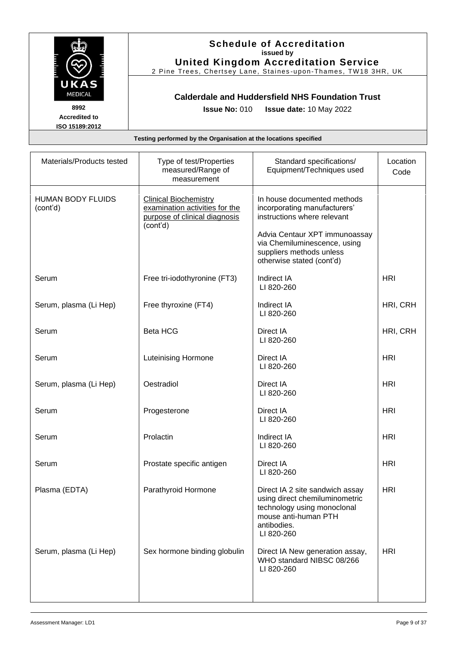|                                                | <b>Schedule of Accreditation</b><br>issued by                                                                 |
|------------------------------------------------|---------------------------------------------------------------------------------------------------------------|
|                                                | <b>United Kingdom Accreditation Service</b><br>2 Pine Trees, Chertsey Lane, Staines-upon-Thames, TW18 3HR, UK |
| UKAS<br><b>MEDICAL</b>                         | <b>Calderdale and Huddersfield NHS Foundation Trust</b>                                                       |
| 8992<br><b>Accredited to</b><br>ISO 15189:2012 | <b>Issue No: 010</b><br><b>Issue date: 10 May 2022</b>                                                        |
|                                                | Testing performed by the Organisation at the locations specified                                              |

| Materials/Products tested            | Type of test/Properties<br>measured/Range of<br>measurement                                                 | Standard specifications/<br>Equipment/Techniques used                                                                                                                                                                | Location<br>Code |
|--------------------------------------|-------------------------------------------------------------------------------------------------------------|----------------------------------------------------------------------------------------------------------------------------------------------------------------------------------------------------------------------|------------------|
| <b>HUMAN BODY FLUIDS</b><br>(cont'd) | <b>Clinical Biochemistry</b><br>examination activities for the<br>purpose of clinical diagnosis<br>(cont'd) | In house documented methods<br>incorporating manufacturers'<br>instructions where relevant<br>Advia Centaur XPT immunoassay<br>via Chemiluminescence, using<br>suppliers methods unless<br>otherwise stated (cont'd) |                  |
| Serum                                | Free tri-iodothyronine (FT3)                                                                                | Indirect IA<br>LI 820-260                                                                                                                                                                                            | <b>HRI</b>       |
| Serum, plasma (Li Hep)               | Free thyroxine (FT4)                                                                                        | Indirect IA<br>LI 820-260                                                                                                                                                                                            | HRI, CRH         |
| Serum                                | <b>Beta HCG</b>                                                                                             | Direct IA<br>LI 820-260                                                                                                                                                                                              | HRI, CRH         |
| Serum                                | <b>Luteinising Hormone</b>                                                                                  | Direct IA<br>LI 820-260                                                                                                                                                                                              | <b>HRI</b>       |
| Serum, plasma (Li Hep)               | Oestradiol                                                                                                  | Direct IA<br>LI 820-260                                                                                                                                                                                              | <b>HRI</b>       |
| Serum                                | Progesterone                                                                                                | Direct IA<br>LI 820-260                                                                                                                                                                                              | <b>HRI</b>       |
| Serum                                | Prolactin                                                                                                   | Indirect IA<br>LI 820-260                                                                                                                                                                                            | <b>HRI</b>       |
| Serum                                | Prostate specific antigen                                                                                   | Direct IA<br>LI 820-260                                                                                                                                                                                              | <b>HRI</b>       |
| Plasma (EDTA)                        | Parathyroid Hormone                                                                                         | Direct IA 2 site sandwich assay<br>using direct chemiluminometric<br>technology using monoclonal<br>mouse anti-human PTH<br>antibodies.<br>LI 820-260                                                                | <b>HRI</b>       |
| Serum, plasma (Li Hep)               | Sex hormone binding globulin                                                                                | Direct IA New generation assay,<br>WHO standard NIBSC 08/266<br>LI 820-260                                                                                                                                           | <b>HRI</b>       |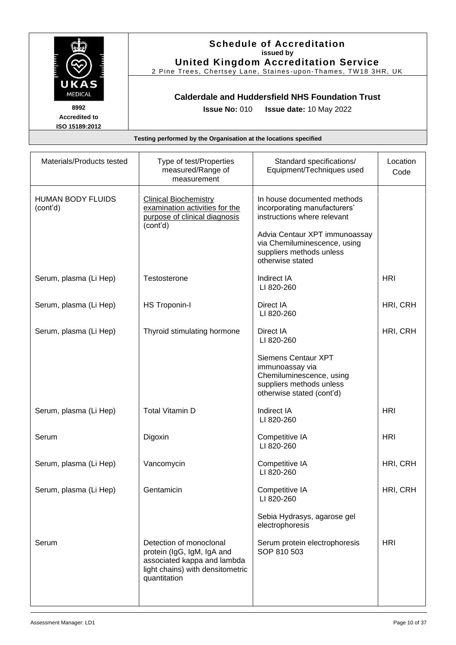|                        | <b>Schedule of Accreditation</b><br>issued by                    |
|------------------------|------------------------------------------------------------------|
|                        | <b>United Kingdom Accreditation Service</b>                      |
|                        | 2 Pine Trees, Chertsey Lane, Staines-upon-Thames, TW18 3HR, UK   |
| UKAS<br><b>MEDICAL</b> | <b>Calderdale and Huddersfield NHS Foundation Trust</b>          |
| 8992                   | <b>Issue No: 010</b><br><b>Issue date: 10 May 2022</b>           |
| <b>Accredited to</b>   |                                                                  |
| ISO 15189:2012         |                                                                  |
|                        | Testing performed by the Organisation at the locations specified |

| Materials/Products tested            | Type of test/Properties<br>measured/Range of<br>measurement                                                                              | Standard specifications/<br>Equipment/Techniques used                                                                                                                                                       | Location<br>Code |
|--------------------------------------|------------------------------------------------------------------------------------------------------------------------------------------|-------------------------------------------------------------------------------------------------------------------------------------------------------------------------------------------------------------|------------------|
| <b>HUMAN BODY FLUIDS</b><br>(cont'd) | <b>Clinical Biochemistry</b><br>examination activities for the<br>purpose of clinical diagnosis<br>(cont'd)                              | In house documented methods<br>incorporating manufacturers'<br>instructions where relevant<br>Advia Centaur XPT immunoassay<br>via Chemiluminescence, using<br>suppliers methods unless<br>otherwise stated |                  |
| Serum, plasma (Li Hep)               | Testosterone                                                                                                                             | Indirect IA<br>LI 820-260                                                                                                                                                                                   | <b>HRI</b>       |
| Serum, plasma (Li Hep)               | <b>HS Troponin-I</b>                                                                                                                     | Direct IA<br>LI 820-260                                                                                                                                                                                     | HRI, CRH         |
| Serum, plasma (Li Hep)               | Thyroid stimulating hormone                                                                                                              | Direct IA<br>LI 820-260                                                                                                                                                                                     | HRI, CRH         |
|                                      |                                                                                                                                          | <b>Siemens Centaur XPT</b><br>immunoassay via<br>Chemiluminescence, using<br>suppliers methods unless<br>otherwise stated (cont'd)                                                                          |                  |
| Serum, plasma (Li Hep)               | <b>Total Vitamin D</b>                                                                                                                   | Indirect IA<br>LI 820-260                                                                                                                                                                                   | <b>HRI</b>       |
| Serum                                | Digoxin                                                                                                                                  | Competitive IA<br>LI 820-260                                                                                                                                                                                | <b>HRI</b>       |
| Serum, plasma (Li Hep)               | Vancomycin                                                                                                                               | Competitive IA<br>LI 820-260                                                                                                                                                                                | HRI, CRH         |
| Serum, plasma (Li Hep)               | Gentamicin                                                                                                                               | Competitive IA<br>LI 820-260                                                                                                                                                                                | HRI, CRH         |
|                                      |                                                                                                                                          | Sebia Hydrasys, agarose gel<br>electrophoresis                                                                                                                                                              |                  |
| Serum                                | Detection of monoclonal<br>protein (IgG, IgM, IgA and<br>associated kappa and lambda<br>light chains) with densitometric<br>quantitation | Serum protein electrophoresis<br>SOP 810 503                                                                                                                                                                | <b>HRI</b>       |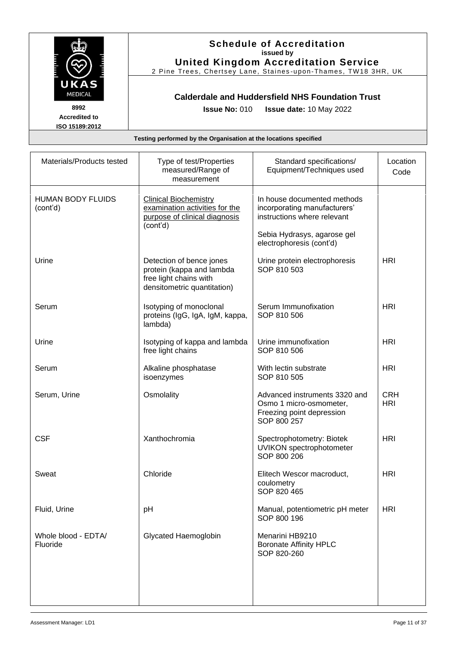

# **Schedule of Accreditation issued by United Kingdom Accreditation Service**

2 Pine Trees, Chertsey Lane, Staines -upon-Thames, TW18 3HR, UK

# **Calderdale and Huddersfield NHS Foundation Trust**

**Issue No:** 010 **Issue date:** 10 May 2022

| Materials/Products tested            | Type of test/Properties<br>measured/Range of<br>measurement                                                    | Standard specifications/<br>Equipment/Techniques used                                                | Location<br>Code         |
|--------------------------------------|----------------------------------------------------------------------------------------------------------------|------------------------------------------------------------------------------------------------------|--------------------------|
| <b>HUMAN BODY FLUIDS</b><br>(cont'd) | <b>Clinical Biochemistry</b><br>examination activities for the<br>purpose of clinical diagnosis<br>(cont'd)    | In house documented methods<br>incorporating manufacturers'<br>instructions where relevant           |                          |
|                                      |                                                                                                                | Sebia Hydrasys, agarose gel<br>electrophoresis (cont'd)                                              |                          |
| Urine                                | Detection of bence jones<br>protein (kappa and lambda<br>free light chains with<br>densitometric quantitation) | Urine protein electrophoresis<br>SOP 810 503                                                         | <b>HRI</b>               |
| Serum                                | Isotyping of monoclonal<br>proteins (IgG, IgA, IgM, kappa,<br>lambda)                                          | Serum Immunofixation<br>SOP 810 506                                                                  | <b>HRI</b>               |
| Urine                                | Isotyping of kappa and lambda<br>free light chains                                                             | Urine immunofixation<br>SOP 810 506                                                                  | <b>HRI</b>               |
| Serum                                | Alkaline phosphatase<br>isoenzymes                                                                             | With lectin substrate<br>SOP 810 505                                                                 | <b>HRI</b>               |
| Serum, Urine                         | Osmolality                                                                                                     | Advanced instruments 3320 and<br>Osmo 1 micro-osmometer,<br>Freezing point depression<br>SOP 800 257 | <b>CRH</b><br><b>HRI</b> |
| <b>CSF</b>                           | Xanthochromia                                                                                                  | Spectrophotometry: Biotek<br>UVIKON spectrophotometer<br>SOP 800 206                                 | <b>HRI</b>               |
| Sweat                                | Chloride                                                                                                       | Elitech Wescor macroduct,<br>coulometry<br>SOP 820 465                                               | <b>HRI</b>               |
| Fluid, Urine                         | pH                                                                                                             | Manual, potentiometric pH meter<br>SOP 800 196                                                       | <b>HRI</b>               |
| Whole blood - EDTA/<br>Fluoride      | Glycated Haemoglobin                                                                                           | Menarini HB9210<br><b>Boronate Affinity HPLC</b><br>SOP 820-260                                      |                          |
|                                      |                                                                                                                |                                                                                                      |                          |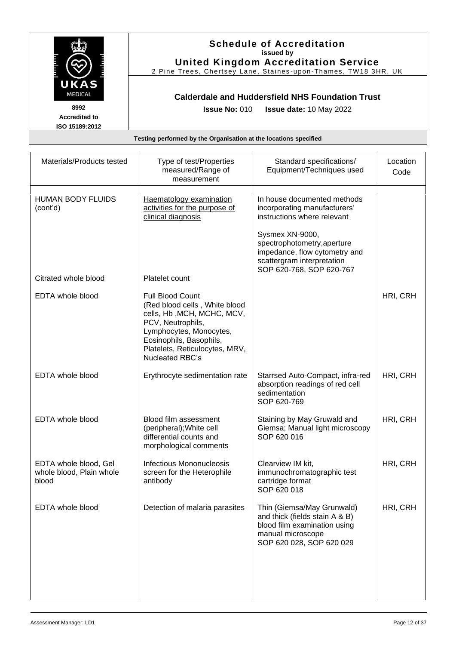|                                                | <b>Schedule of Accreditation</b><br>issued by<br><b>United Kingdom Accreditation Service</b><br>2 Pine Trees, Chertsey Lane, Staines-upon-Thames, TW18 3HR, UK |
|------------------------------------------------|----------------------------------------------------------------------------------------------------------------------------------------------------------------|
| UKAS<br>MEDICAL                                | Calderdale and Huddersfield NHS Foundation Trust                                                                                                               |
| 8992<br><b>Accredited to</b><br>ISO 15189:2012 | <b>Issue No: 010</b><br><b>Issue date:</b> 10 May 2022                                                                                                         |
|                                                | Testing performed by the Organisation at the locations specified                                                                                               |

| Materials/Products tested                                  | Type of test/Properties<br>measured/Range of<br>measurement                                                                                                                                                                   | Standard specifications/<br>Equipment/Techniques used                                                                                         | Location<br>Code |
|------------------------------------------------------------|-------------------------------------------------------------------------------------------------------------------------------------------------------------------------------------------------------------------------------|-----------------------------------------------------------------------------------------------------------------------------------------------|------------------|
| <b>HUMAN BODY FLUIDS</b><br>(cont'd)                       | <b>Haematology examination</b><br>activities for the purpose of<br>clinical diagnosis                                                                                                                                         | In house documented methods<br>incorporating manufacturers'<br>instructions where relevant                                                    |                  |
|                                                            |                                                                                                                                                                                                                               | Sysmex XN-9000,<br>spectrophotometry, aperture<br>impedance, flow cytometry and<br>scattergram interpretation<br>SOP 620-768, SOP 620-767     |                  |
| Citrated whole blood                                       | Platelet count                                                                                                                                                                                                                |                                                                                                                                               |                  |
| EDTA whole blood                                           | <b>Full Blood Count</b><br>(Red blood cells, White blood<br>cells, Hb, MCH, MCHC, MCV,<br>PCV, Neutrophils,<br>Lymphocytes, Monocytes,<br>Eosinophils, Basophils,<br>Platelets, Reticulocytes, MRV,<br><b>Nucleated RBC's</b> |                                                                                                                                               | HRI, CRH         |
| EDTA whole blood                                           | Erythrocyte sedimentation rate                                                                                                                                                                                                | Starrsed Auto-Compact, infra-red<br>absorption readings of red cell<br>sedimentation<br>SOP 620-769                                           | HRI, CRH         |
| EDTA whole blood                                           | Blood film assessment<br>(peripheral); White cell<br>differential counts and<br>morphological comments                                                                                                                        | Staining by May Gruwald and<br>Giemsa; Manual light microscopy<br>SOP 620 016                                                                 | HRI, CRH         |
| EDTA whole blood, Gel<br>whole blood, Plain whole<br>blood | <b>Infectious Mononucleosis</b><br>screen for the Heterophile<br>antibody                                                                                                                                                     | Clearview IM kit,<br>immunochromatographic test<br>cartridge format<br>SOP 620 018                                                            | HRI, CRH         |
| EDTA whole blood                                           | Detection of malaria parasites                                                                                                                                                                                                | Thin (Giemsa/May Grunwald)<br>and thick (fields stain A & B)<br>blood film examination using<br>manual microscope<br>SOP 620 028, SOP 620 029 | HRI, CRH         |
|                                                            |                                                                                                                                                                                                                               |                                                                                                                                               |                  |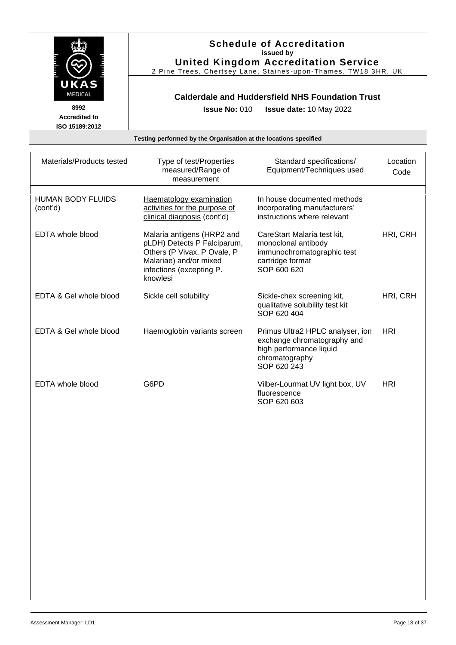

**ISO 15189:2012**

**Schedule of Accreditation issued by United Kingdom Accreditation Service**

2 Pine Trees, Chertsey Lane, Staines -upon-Thames, TW18 3HR, UK

# **Calderdale and Huddersfield NHS Foundation Trust**

**Issue No:** 010 **Issue date:** 10 May 2022

| Materials/Products tested            | Type of test/Properties<br>measured/Range of<br>measurement                                                                                                | Standard specifications/<br>Equipment/Techniques used                                                                       | Location<br>Code |
|--------------------------------------|------------------------------------------------------------------------------------------------------------------------------------------------------------|-----------------------------------------------------------------------------------------------------------------------------|------------------|
| <b>HUMAN BODY FLUIDS</b><br>(cont'd) | Haematology examination<br>activities for the purpose of<br>clinical diagnosis (cont'd)                                                                    | In house documented methods<br>incorporating manufacturers'<br>instructions where relevant                                  |                  |
| EDTA whole blood                     | Malaria antigens (HRP2 and<br>pLDH) Detects P Falciparum,<br>Others (P Vivax, P Ovale, P<br>Malariae) and/or mixed<br>infections (excepting P.<br>knowlesi | CareStart Malaria test kit,<br>monoclonal antibody<br>immunochromatographic test<br>cartridge format<br>SOP 600 620         | HRI, CRH         |
| EDTA & Gel whole blood               | Sickle cell solubility                                                                                                                                     | Sickle-chex screening kit,<br>qualitative solubility test kit<br>SOP 620 404                                                | HRI, CRH         |
| EDTA & Gel whole blood               | Haemoglobin variants screen                                                                                                                                | Primus Ultra2 HPLC analyser, ion<br>exchange chromatography and<br>high performance liquid<br>chromatography<br>SOP 620 243 | <b>HRI</b>       |
| EDTA whole blood                     | G6PD                                                                                                                                                       | Vilber-Lourmat UV light box, UV<br>fluorescence<br>SOP 620 603                                                              | <b>HRI</b>       |
|                                      |                                                                                                                                                            |                                                                                                                             |                  |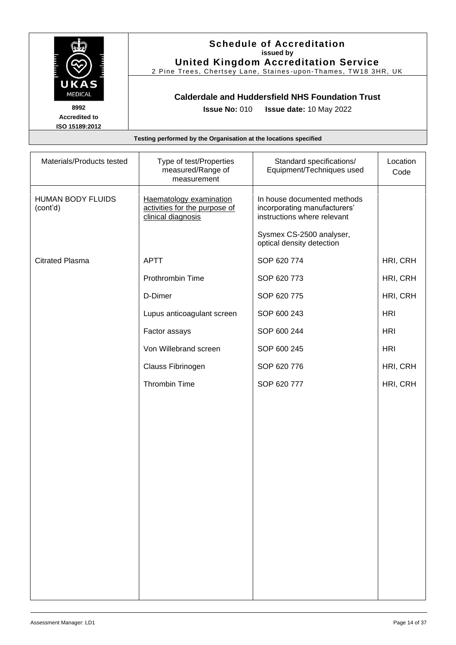

**Schedule of Accreditation issued by United Kingdom Accreditation Service**

2 Pine Trees, Chertsey Lane, Staines -upon-Thames, TW18 3HR, UK

# **Calderdale and Huddersfield NHS Foundation Trust**

**Issue No:** 010 **Issue date:** 10 May 2022

| Materials/Products tested            | Type of test/Properties<br>measured/Range of<br>measurement                    | Standard specifications/<br>Equipment/Techniques used                                      | Location<br>Code |
|--------------------------------------|--------------------------------------------------------------------------------|--------------------------------------------------------------------------------------------|------------------|
| <b>HUMAN BODY FLUIDS</b><br>(cont'd) | Haematology examination<br>activities for the purpose of<br>clinical diagnosis | In house documented methods<br>incorporating manufacturers'<br>instructions where relevant |                  |
|                                      |                                                                                | Sysmex CS-2500 analyser,<br>optical density detection                                      |                  |
| <b>Citrated Plasma</b>               | <b>APTT</b>                                                                    | SOP 620 774                                                                                | HRI, CRH         |
|                                      | Prothrombin Time                                                               | SOP 620 773                                                                                | HRI, CRH         |
|                                      | D-Dimer                                                                        | SOP 620 775                                                                                | HRI, CRH         |
|                                      | Lupus anticoagulant screen                                                     | SOP 600 243                                                                                | <b>HRI</b>       |
|                                      | Factor assays                                                                  | SOP 600 244                                                                                | <b>HRI</b>       |
|                                      | Von Willebrand screen                                                          | SOP 600 245                                                                                | <b>HRI</b>       |
|                                      | Clauss Fibrinogen                                                              | SOP 620 776                                                                                | HRI, CRH         |
|                                      | <b>Thrombin Time</b>                                                           | SOP 620 777                                                                                | HRI, CRH         |
|                                      |                                                                                |                                                                                            |                  |
|                                      |                                                                                |                                                                                            |                  |
|                                      |                                                                                |                                                                                            |                  |
|                                      |                                                                                |                                                                                            |                  |
|                                      |                                                                                |                                                                                            |                  |
|                                      |                                                                                |                                                                                            |                  |
|                                      |                                                                                |                                                                                            |                  |
|                                      |                                                                                |                                                                                            |                  |
|                                      |                                                                                |                                                                                            |                  |
|                                      |                                                                                |                                                                                            |                  |
|                                      |                                                                                |                                                                                            |                  |
|                                      |                                                                                |                                                                                            |                  |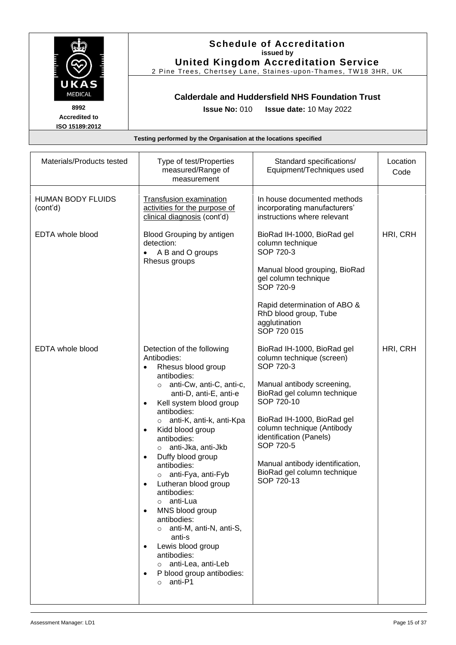|                                                | <b>Schedule of Accreditation</b><br>issued by                                                                 |
|------------------------------------------------|---------------------------------------------------------------------------------------------------------------|
|                                                | <b>United Kingdom Accreditation Service</b><br>2 Pine Trees, Chertsey Lane, Staines-upon-Thames, TW18 3HR, UK |
| UKAS<br><b>MEDICAL</b>                         | <b>Calderdale and Huddersfield NHS Foundation Trust</b>                                                       |
| 8992<br><b>Accredited to</b><br>ISO 15189:2012 | <b>Issue No: 010</b><br><b>Issue date: 10 May 2022</b>                                                        |
|                                                | Testing performed by the Organisation at the locations specified                                              |

| Materials/Products tested            | Type of test/Properties<br>measured/Range of<br>measurement                                                                                                                                                                                                                                                                                                                                                                                                                                                                                                                                                                     | Standard specifications/<br>Equipment/Techniques used                                                                                                                                                                                                                                                                               | Location<br>Code |
|--------------------------------------|---------------------------------------------------------------------------------------------------------------------------------------------------------------------------------------------------------------------------------------------------------------------------------------------------------------------------------------------------------------------------------------------------------------------------------------------------------------------------------------------------------------------------------------------------------------------------------------------------------------------------------|-------------------------------------------------------------------------------------------------------------------------------------------------------------------------------------------------------------------------------------------------------------------------------------------------------------------------------------|------------------|
| <b>HUMAN BODY FLUIDS</b><br>(cont'd) | Transfusion examination<br>activities for the purpose of<br>clinical diagnosis (cont'd)                                                                                                                                                                                                                                                                                                                                                                                                                                                                                                                                         | In house documented methods<br>incorporating manufacturers'<br>instructions where relevant                                                                                                                                                                                                                                          |                  |
| EDTA whole blood                     | Blood Grouping by antigen<br>detection:<br>A B and O groups<br>Rhesus groups                                                                                                                                                                                                                                                                                                                                                                                                                                                                                                                                                    | BioRad IH-1000, BioRad gel<br>column technique<br>SOP 720-3<br>Manual blood grouping, BioRad<br>gel column technique<br>SOP 720-9<br>Rapid determination of ABO &<br>RhD blood group, Tube<br>agglutination<br>SOP 720 015                                                                                                          | HRI, CRH         |
| EDTA whole blood                     | Detection of the following<br>Antibodies:<br>Rhesus blood group<br>antibodies:<br>$\circ$ anti-Cw, anti-C, anti-c,<br>anti-D, anti-E, anti-e<br>Kell system blood group<br>antibodies:<br>o anti-K, anti-k, anti-Kpa<br>Kidd blood group<br>$\bullet$<br>antibodies:<br>o anti-Jka, anti-Jkb<br>Duffy blood group<br>$\bullet$<br>antibodies:<br>anti-Fya, anti-Fyb<br>$\circ$<br>Lutheran blood group<br>antibodies:<br>anti-Lua<br>MNS blood group<br>antibodies:<br>anti-M, anti-N, anti-S,<br>$\circ$<br>anti-s<br>Lewis blood group<br>antibodies:<br>o anti-Lea, anti-Leb<br>P blood group antibodies:<br>$\circ$ anti-P1 | BioRad IH-1000, BioRad gel<br>column technique (screen)<br>SOP 720-3<br>Manual antibody screening,<br>BioRad gel column technique<br>SOP 720-10<br>BioRad IH-1000, BioRad gel<br>column technique (Antibody<br>identification (Panels)<br>SOP 720-5<br>Manual antibody identification,<br>BioRad gel column technique<br>SOP 720-13 | HRI, CRH         |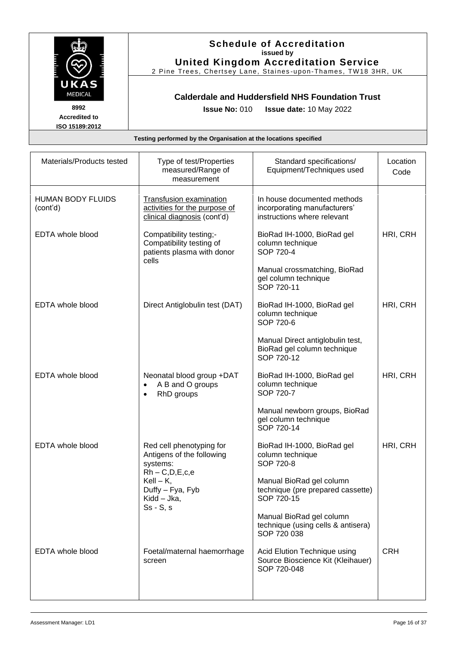

#### **Schedule of Accreditation issued by United Kingdom Accreditation Service**

2 Pine Trees, Chertsey Lane, Staines -upon-Thames, TW18 3HR, UK

# **Calderdale and Huddersfield NHS Foundation Trust**

**Issue No:** 010 **Issue date:** 10 May 2022

| Materials/Products tested            | Type of test/Properties<br>measured/Range of<br>measurement                                    | Standard specifications/<br>Equipment/Techniques used                                      | Location<br>Code |
|--------------------------------------|------------------------------------------------------------------------------------------------|--------------------------------------------------------------------------------------------|------------------|
| <b>HUMAN BODY FLUIDS</b><br>(cont'd) | <b>Transfusion examination</b><br>activities for the purpose of<br>clinical diagnosis (cont'd) | In house documented methods<br>incorporating manufacturers'<br>instructions where relevant |                  |
| <b>EDTA</b> whole blood              | Compatibility testing;-<br>Compatibility testing of<br>patients plasma with donor<br>cells     | BioRad IH-1000, BioRad gel<br>column technique<br>SOP 720-4                                | HRI, CRH         |
|                                      |                                                                                                | Manual crossmatching, BioRad<br>gel column technique<br>SOP 720-11                         |                  |
| EDTA whole blood                     | Direct Antiglobulin test (DAT)                                                                 | BioRad IH-1000, BioRad gel<br>column technique<br>SOP 720-6                                | HRI, CRH         |
|                                      |                                                                                                | Manual Direct antiglobulin test,<br>BioRad gel column technique<br>SOP 720-12              |                  |
| EDTA whole blood                     | Neonatal blood group +DAT<br>A B and O groups<br>$\bullet$<br>RhD groups<br>$\bullet$          | BioRad IH-1000, BioRad gel<br>column technique<br>SOP 720-7                                | HRI, CRH         |
|                                      |                                                                                                | Manual newborn groups, BioRad<br>gel column technique<br>SOP 720-14                        |                  |
| EDTA whole blood                     | Red cell phenotyping for<br>Antigens of the following<br>systems:                              | BioRad IH-1000, BioRad gel<br>column technique<br>SOP 720-8                                | HRI, CRH         |
|                                      | $Rh - C, D, E, c, e$<br>Kell – $K$ ,<br>Duffy – Fya, Fyb<br>Kidd - Jka,                        | Manual BioRad gel column<br>technique (pre prepared cassette)<br>SOP 720-15                |                  |
|                                      | $Ss - S$ , s                                                                                   | Manual BioRad gel column<br>technique (using cells & antisera)<br>SOP 720 038              |                  |
| EDTA whole blood                     | Foetal/maternal haemorrhage<br>screen                                                          | Acid Elution Technique using<br>Source Bioscience Kit (Kleihauer)<br>SOP 720-048           | <b>CRH</b>       |
|                                      |                                                                                                |                                                                                            |                  |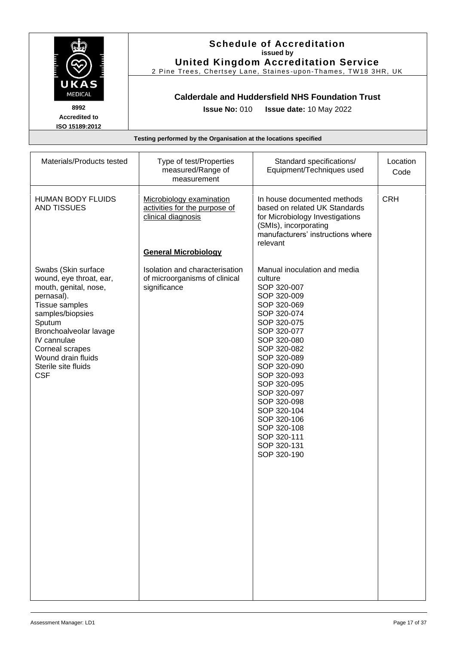|                                                                          |                                                                  | <b>Schedule of Accreditation</b><br>issued by<br><b>United Kingdom Accreditation Service</b><br>2 Pine Trees, Chertsey Lane, Staines-upon-Thames, TW18 3HR, UK |          |
|--------------------------------------------------------------------------|------------------------------------------------------------------|----------------------------------------------------------------------------------------------------------------------------------------------------------------|----------|
| UKAS<br><b>MEDICAL</b><br>8992<br><b>Accredited to</b><br>ISO 15189:2012 |                                                                  | <b>Calderdale and Huddersfield NHS Foundation Trust</b><br><b>Issue No: 010 Issue date: 10 May 2022</b>                                                        |          |
|                                                                          | Testing performed by the Organisation at the locations specified |                                                                                                                                                                |          |
| Materials/Products tested                                                | Type of test/Properties<br>المتمدم والمدين ومدمون                | Standard specifications/<br>$\Gamma$ aulawana 1 $\Gamma$ na kutawiana na na al                                                                                 | Location |

| Materials/Products tested                                                                                                                                                                                                                                    | Type of test/Properties<br>measured/Range of<br>measurement                                                    | Standard specifications/<br>Equipment/Techniques used                                                                                                                                                                                                                                                                                               | Location<br>Code |
|--------------------------------------------------------------------------------------------------------------------------------------------------------------------------------------------------------------------------------------------------------------|----------------------------------------------------------------------------------------------------------------|-----------------------------------------------------------------------------------------------------------------------------------------------------------------------------------------------------------------------------------------------------------------------------------------------------------------------------------------------------|------------------|
| <b>HUMAN BODY FLUIDS</b><br><b>AND TISSUES</b>                                                                                                                                                                                                               | Microbiology examination<br>activities for the purpose of<br>clinical diagnosis<br><b>General Microbiology</b> | In house documented methods<br>based on related UK Standards<br>for Microbiology Investigations<br>(SMIs), incorporating<br>manufacturers' instructions where<br>relevant                                                                                                                                                                           | <b>CRH</b>       |
| Swabs (Skin surface<br>wound, eye throat, ear,<br>mouth, genital, nose,<br>pernasal).<br>Tissue samples<br>samples/biopsies<br>Sputum<br>Bronchoalveolar lavage<br>IV cannulae<br>Corneal scrapes<br>Wound drain fluids<br>Sterile site fluids<br><b>CSF</b> | Isolation and characterisation<br>of microorganisms of clinical<br>significance                                | Manual inoculation and media<br>culture<br>SOP 320-007<br>SOP 320-009<br>SOP 320-069<br>SOP 320-074<br>SOP 320-075<br>SOP 320-077<br>SOP 320-080<br>SOP 320-082<br>SOP 320-089<br>SOP 320-090<br>SOP 320-093<br>SOP 320-095<br>SOP 320-097<br>SOP 320-098<br>SOP 320-104<br>SOP 320-106<br>SOP 320-108<br>SOP 320-111<br>SOP 320-131<br>SOP 320-190 |                  |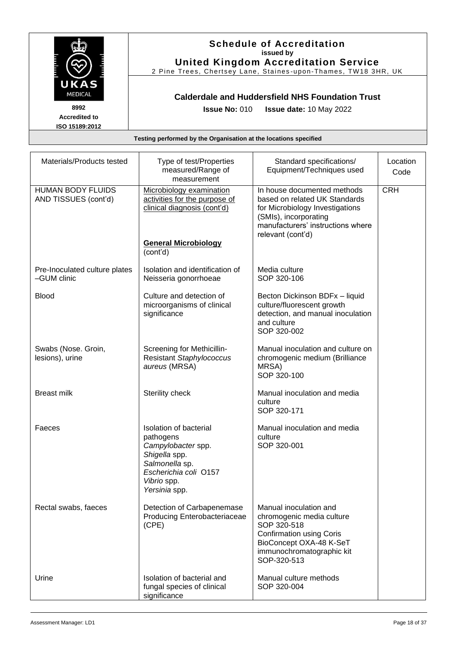

| Materials/Products tested                        | Type of test/Properties<br>measured/Range of<br>measurement                                                                                           | Standard specifications/<br>Equipment/Techniques used                                                                                                                              | Location<br>Code |
|--------------------------------------------------|-------------------------------------------------------------------------------------------------------------------------------------------------------|------------------------------------------------------------------------------------------------------------------------------------------------------------------------------------|------------------|
| <b>HUMAN BODY FLUIDS</b><br>AND TISSUES (cont'd) | Microbiology examination<br>activities for the purpose of<br>clinical diagnosis (cont'd)                                                              | In house documented methods<br>based on related UK Standards<br>for Microbiology Investigations<br>(SMIs), incorporating<br>manufacturers' instructions where<br>relevant (cont'd) | <b>CRH</b>       |
|                                                  | <b>General Microbiology</b><br>(cont'd)                                                                                                               |                                                                                                                                                                                    |                  |
| Pre-Inoculated culture plates<br>-GUM clinic     | Isolation and identification of<br>Neisseria gonorrhoeae                                                                                              | Media culture<br>SOP 320-106                                                                                                                                                       |                  |
| <b>Blood</b>                                     | Culture and detection of<br>microorganisms of clinical<br>significance                                                                                | Becton Dickinson BDFx - liquid<br>culture/fluorescent growth<br>detection, and manual inoculation<br>and culture<br>SOP 320-002                                                    |                  |
| Swabs (Nose. Groin,<br>lesions), urine           | Screening for Methicillin-<br><b>Resistant Staphylococcus</b><br>aureus (MRSA)                                                                        | Manual inoculation and culture on<br>chromogenic medium (Brilliance<br>MRSA)<br>SOP 320-100                                                                                        |                  |
| <b>Breast milk</b>                               | Sterility check                                                                                                                                       | Manual inoculation and media<br>culture<br>SOP 320-171                                                                                                                             |                  |
| Faeces                                           | Isolation of bacterial<br>pathogens<br>Campylobacter spp.<br>Shigella spp.<br>Salmonella sp.<br>Escherichia coli O157<br>Vibrio spp.<br>Yersinia spp. | Manual inoculation and media<br>culture<br>SOP 320-001                                                                                                                             |                  |
| Rectal swabs, faeces                             | Detection of Carbapenemase<br>Producing Enterobacteriaceae<br>(CPE)                                                                                   | Manual inoculation and<br>chromogenic media culture<br>SOP 320-518<br><b>Confirmation using Coris</b><br>BioConcept OXA-48 K-SeT<br>immunochromatographic kit<br>SOP-320-513       |                  |
| Urine                                            | Isolation of bacterial and<br>fungal species of clinical<br>significance                                                                              | Manual culture methods<br>SOP 320-004                                                                                                                                              |                  |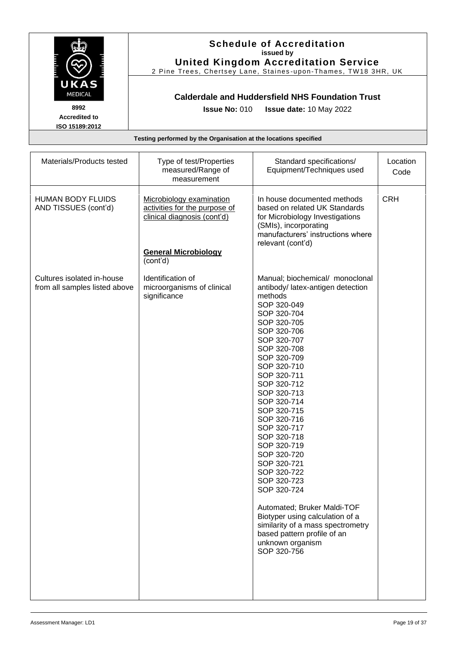| <b>Schedule of Accreditation</b><br>issued by<br><b>United Kingdom Accreditation Service</b><br>2 Pine Trees, Chertsey Lane, Staines-upon-Thames, TW18 3HR, UK<br>UKAS |                                                                  |                                                       |                  |
|------------------------------------------------------------------------------------------------------------------------------------------------------------------------|------------------------------------------------------------------|-------------------------------------------------------|------------------|
| MEDICAL<br>Calderdale and Huddersfield NHS Foundation Trust                                                                                                            |                                                                  |                                                       |                  |
| 8992<br><b>Accredited to</b><br>ISO 15189:2012                                                                                                                         | <b>Issue No: 010</b>                                             | <b>Issue date: 10 May 2022</b>                        |                  |
|                                                                                                                                                                        | Testing performed by the Organisation at the locations specified |                                                       |                  |
|                                                                                                                                                                        |                                                                  |                                                       |                  |
| Materials/Products tested                                                                                                                                              | Type of test/Properties<br>measured/Range of                     | Standard specifications/<br>Equipment/Techniques used | Location<br>Code |

| Materials/Products tested                                   | Type of test/Properties<br>measured/Range of<br>measurement                                                                         | Standard specifications/<br>Equipment/Techniques used                                                                                                                                                                                                                                                                                                                                                                                                                                                                                                                                              | Location<br>Code |
|-------------------------------------------------------------|-------------------------------------------------------------------------------------------------------------------------------------|----------------------------------------------------------------------------------------------------------------------------------------------------------------------------------------------------------------------------------------------------------------------------------------------------------------------------------------------------------------------------------------------------------------------------------------------------------------------------------------------------------------------------------------------------------------------------------------------------|------------------|
| <b>HUMAN BODY FLUIDS</b><br>AND TISSUES (cont'd)            | Microbiology examination<br>activities for the purpose of<br>clinical diagnosis (cont'd)<br><b>General Microbiology</b><br>(cont'd) | In house documented methods<br>based on related UK Standards<br>for Microbiology Investigations<br>(SMIs), incorporating<br>manufacturers' instructions where<br>relevant (cont'd)                                                                                                                                                                                                                                                                                                                                                                                                                 | <b>CRH</b>       |
| Cultures isolated in-house<br>from all samples listed above | Identification of<br>microorganisms of clinical<br>significance                                                                     | Manual; biochemical/ monoclonal<br>antibody/ latex-antigen detection<br>methods<br>SOP 320-049<br>SOP 320-704<br>SOP 320-705<br>SOP 320-706<br>SOP 320-707<br>SOP 320-708<br>SOP 320-709<br>SOP 320-710<br>SOP 320-711<br>SOP 320-712<br>SOP 320-713<br>SOP 320-714<br>SOP 320-715<br>SOP 320-716<br>SOP 320-717<br>SOP 320-718<br>SOP 320-719<br>SOP 320-720<br>SOP 320-721<br>SOP 320-722<br>SOP 320-723<br>SOP 320-724<br>Automated; Bruker Maldi-TOF<br>Biotyper using calculation of a<br>similarity of a mass spectrometry<br>based pattern profile of an<br>unknown organism<br>SOP 320-756 |                  |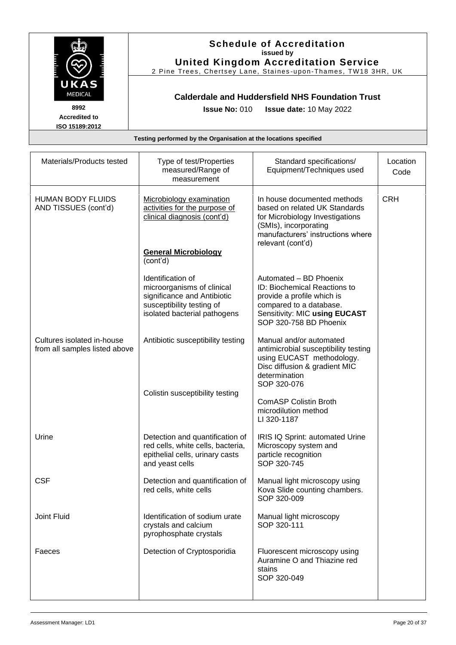| UKAS<br><b>MEDICAL</b>                           | <b>Schedule of Accreditation</b><br>issued by<br><b>United Kingdom Accreditation Service</b><br>2 Pine Trees, Chertsey Lane, Staines-upon-Thames, TW18 3HR, UK<br><b>Calderdale and Huddersfield NHS Foundation Trust</b> |                                                                                                                                                                                    |                  |
|--------------------------------------------------|---------------------------------------------------------------------------------------------------------------------------------------------------------------------------------------------------------------------------|------------------------------------------------------------------------------------------------------------------------------------------------------------------------------------|------------------|
| 8992<br><b>Accredited to</b>                     | <b>Issue No: 010</b>                                                                                                                                                                                                      | <b>Issue date: 10 May 2022</b>                                                                                                                                                     |                  |
| ISO 15189:2012                                   |                                                                                                                                                                                                                           |                                                                                                                                                                                    |                  |
|                                                  | Testing performed by the Organisation at the locations specified                                                                                                                                                          |                                                                                                                                                                                    |                  |
|                                                  |                                                                                                                                                                                                                           |                                                                                                                                                                                    |                  |
| Materials/Products tested                        | Type of test/Properties<br>measured/Range of<br>measurement                                                                                                                                                               | Standard specifications/<br>Equipment/Techniques used                                                                                                                              | Location<br>Code |
| <b>HUMAN BODY FLUIDS</b><br>AND TISSUES (cont'd) | Microbiology examination<br>activities for the purpose of<br>clinical diagnosis (cont'd)                                                                                                                                  | In house documented methods<br>based on related UK Standards<br>for Microbiology Investigations<br>(SMIs), incorporating<br>manufacturers' instructions where<br>relevant (cont'd) | <b>CRH</b>       |
|                                                  | <b>General Microbiology</b><br>(cont'd)                                                                                                                                                                                   |                                                                                                                                                                                    |                  |

|                                                             | <b>General Microbiology</b><br>(cont'd)                                                                                                     | manufacturers' instructions where<br>relevant (cont'd)                                                                                                                     |  |
|-------------------------------------------------------------|---------------------------------------------------------------------------------------------------------------------------------------------|----------------------------------------------------------------------------------------------------------------------------------------------------------------------------|--|
|                                                             | Identification of<br>microorganisms of clinical<br>significance and Antibiotic<br>susceptibility testing of<br>isolated bacterial pathogens | Automated - BD Phoenix<br>ID: Biochemical Reactions to<br>provide a profile which is<br>compared to a database.<br>Sensitivity: MIC using EUCAST<br>SOP 320-758 BD Phoenix |  |
| Cultures isolated in-house<br>from all samples listed above | Antibiotic susceptibility testing<br>Colistin susceptibility testing                                                                        | Manual and/or automated<br>antimicrobial susceptibility testing<br>using EUCAST methodology.<br>Disc diffusion & gradient MIC<br>determination<br>SOP 320-076              |  |
|                                                             |                                                                                                                                             | <b>ComASP Colistin Broth</b><br>microdilution method<br>LI 320-1187                                                                                                        |  |
| Urine                                                       | Detection and quantification of<br>red cells, white cells, bacteria,<br>epithelial cells, urinary casts<br>and yeast cells                  | IRIS IQ Sprint: automated Urine<br>Microscopy system and<br>particle recognition<br>SOP 320-745                                                                            |  |
| <b>CSF</b>                                                  | Detection and quantification of<br>red cells, white cells                                                                                   | Manual light microscopy using<br>Kova Slide counting chambers.<br>SOP 320-009                                                                                              |  |
| Joint Fluid                                                 | Identification of sodium urate<br>crystals and calcium<br>pyrophosphate crystals                                                            | Manual light microscopy<br>SOP 320-111                                                                                                                                     |  |
| Faeces                                                      | Detection of Cryptosporidia                                                                                                                 | Fluorescent microscopy using<br>Auramine O and Thiazine red<br>stains<br>SOP 320-049                                                                                       |  |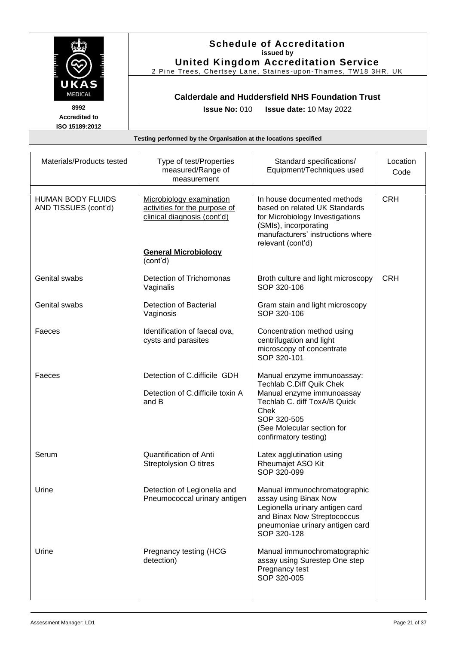|                                                                          |                                                                                                                   | <b>Schedule of Accreditation</b><br>issued by<br><b>United Kingdom Accreditation Service</b><br>2 Pine Trees, Chertsey Lane, Staines-upon-Thames, TW18 3HR, UK |                  |  |
|--------------------------------------------------------------------------|-------------------------------------------------------------------------------------------------------------------|----------------------------------------------------------------------------------------------------------------------------------------------------------------|------------------|--|
| UKAS<br><b>MEDICAL</b><br>8992<br><b>Accredited to</b><br>ISO 15189:2012 | <b>Calderdale and Huddersfield NHS Foundation Trust</b><br><b>Issue No: 010</b><br><b>Issue date: 10 May 2022</b> |                                                                                                                                                                |                  |  |
| Testing performed by the Organisation at the locations specified         |                                                                                                                   |                                                                                                                                                                |                  |  |
|                                                                          |                                                                                                                   |                                                                                                                                                                |                  |  |
| Materials/Products tested                                                | Type of test/Properties<br>measured/Range of                                                                      | Standard specifications/<br>Equipment/Techniques used                                                                                                          | Location<br>Code |  |

| Malthais/Fiuuulis lesleu                         | Type of result in perries<br>measured/Range of<br>measurement                            | Jianuaru Specincations/<br>Equipment/Techniques used                                                                                                                                              | LUCALIUIT<br>Code |
|--------------------------------------------------|------------------------------------------------------------------------------------------|---------------------------------------------------------------------------------------------------------------------------------------------------------------------------------------------------|-------------------|
| <b>HUMAN BODY FLUIDS</b><br>AND TISSUES (cont'd) | Microbiology examination<br>activities for the purpose of<br>clinical diagnosis (cont'd) | In house documented methods<br>based on related UK Standards<br>for Microbiology Investigations<br>(SMIs), incorporating<br>manufacturers' instructions where<br>relevant (cont'd)                | <b>CRH</b>        |
|                                                  | <b>General Microbiology</b><br>(cont'd)                                                  |                                                                                                                                                                                                   |                   |
| Genital swabs                                    | Detection of Trichomonas<br>Vaginalis                                                    | Broth culture and light microscopy<br>SOP 320-106                                                                                                                                                 | <b>CRH</b>        |
| Genital swabs                                    | Detection of Bacterial<br>Vaginosis                                                      | Gram stain and light microscopy<br>SOP 320-106                                                                                                                                                    |                   |
| Faeces                                           | Identification of faecal ova,<br>cysts and parasites                                     | Concentration method using<br>centrifugation and light<br>microscopy of concentrate<br>SOP 320-101                                                                                                |                   |
| Faeces                                           | Detection of C.difficile GDH<br>Detection of C.difficile toxin A<br>and B                | Manual enzyme immunoassay:<br>Techlab C.Diff Quik Chek<br>Manual enzyme immunoassay<br>Techlab C. diff ToxA/B Quick<br>Chek<br>SOP 320-505<br>(See Molecular section for<br>confirmatory testing) |                   |
| Serum                                            | <b>Quantification of Anti</b><br><b>Streptolysion O titres</b>                           | Latex agglutination using<br>Rheumajet ASO Kit<br>SOP 320-099                                                                                                                                     |                   |
| Urine                                            | Detection of Legionella and<br>Pneumococcal urinary antigen                              | Manual immunochromatographic<br>assay using Binax Now<br>Legionella urinary antigen card<br>and Binax Now Streptococcus<br>pneumoniae urinary antigen card<br>SOP 320-128                         |                   |
| Urine                                            | Pregnancy testing (HCG<br>detection)                                                     | Manual immunochromatographic<br>assay using Surestep One step<br>Pregnancy test<br>SOP 320-005                                                                                                    |                   |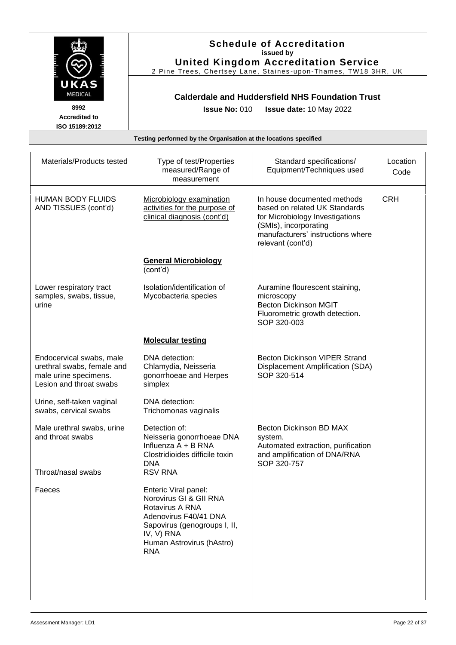|                                                                                                            |                                                                                          | <b>Schedule of Accreditation</b><br>issued by<br><b>United Kingdom Accreditation Service</b><br>2 Pine Trees, Chertsey Lane, Staines-upon-Thames, TW18 3HR, UK                     |                  |
|------------------------------------------------------------------------------------------------------------|------------------------------------------------------------------------------------------|------------------------------------------------------------------------------------------------------------------------------------------------------------------------------------|------------------|
| UK A<br>MEDICAL<br>8992<br><b>Accredited to</b><br>ISO 15189:2012                                          | <b>Issue No: 010</b>                                                                     | <b>Calderdale and Huddersfield NHS Foundation Trust</b><br>Issue date: 10 May 2022                                                                                                 |                  |
|                                                                                                            | Testing performed by the Organisation at the locations specified                         |                                                                                                                                                                                    |                  |
| Materials/Products tested                                                                                  | Type of test/Properties<br>measured/Range of<br>measurement                              | Standard specifications/<br>Equipment/Techniques used                                                                                                                              | Location<br>Code |
| <b>HUMAN BODY FLUIDS</b><br>AND TISSUES (cont'd)                                                           | Microbiology examination<br>activities for the purpose of<br>clinical diagnosis (cont'd) | In house documented methods<br>based on related UK Standards<br>for Microbiology Investigations<br>(SMIs), incorporating<br>manufacturers' instructions where<br>relevant (cont'd) | <b>CRH</b>       |
|                                                                                                            | <b>General Microbiology</b><br>(cont'd)                                                  |                                                                                                                                                                                    |                  |
| Lower respiratory tract<br>samples, swabs, tissue,<br>urine                                                | Isolation/identification of<br>Mycobacteria species                                      | Auramine flourescent staining,<br>microscopy<br><b>Becton Dickinson MGIT</b><br>Fluorometric growth detection.<br>SOP 320-003                                                      |                  |
|                                                                                                            | <b>Molecular testing</b>                                                                 |                                                                                                                                                                                    |                  |
| Endocervical swabs, male<br>urethral swabs, female and<br>male urine specimens.<br>Lesion and throat swabs | DNA detection:<br>Chlamydia, Neisseria<br>gonorrhoeae and Herpes<br>simplex              | Becton Dickinson VIPER Strand<br>Displacement Amplification (SDA)<br>SOP 320-514                                                                                                   |                  |
| Urine, self-taken vaginal                                                                                  | DNA detection:                                                                           |                                                                                                                                                                                    |                  |

Trichomonas vaginalis

Influenza A + B RNA Clostridioides difficile toxin

Norovirus GI & GII RNA Rotavirus A RNA

Adenovirus F40/41 DNA Sapovirus (genogroups I, II,

Human Astrovirus (hAstro)

Neisseria gonorrhoeae DNA

Becton Dickinson BD MAX

Automated extraction, purification and amplification of DNA/RNA

system.

SOP 320-757

Detection of:

DNA<br>RSV RNA

IV, V) RNA

RNA

Faeces **Enteric Viral panel:** 

Assessment Manager: LD1 Page 22 of 37

swabs, cervical swabs

and throat swabs

Throat/nasal swabs

Male urethral swabs, urine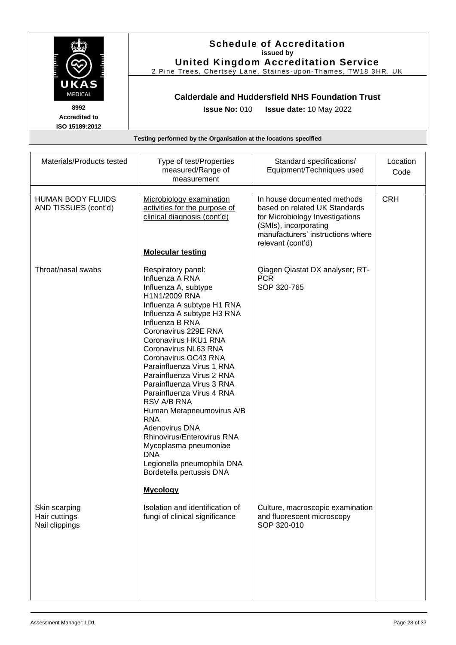|                                                                   |                                                                                                                                                                                                                                                                                                                                                                                                                                                                                                                                                                                                                 | <b>Schedule of Accreditation</b><br>issued by<br><b>United Kingdom Accreditation Service</b><br>2 Pine Trees, Chertsey Lane, Staines-upon-Thames, TW18 3HR, UK                     |                  |
|-------------------------------------------------------------------|-----------------------------------------------------------------------------------------------------------------------------------------------------------------------------------------------------------------------------------------------------------------------------------------------------------------------------------------------------------------------------------------------------------------------------------------------------------------------------------------------------------------------------------------------------------------------------------------------------------------|------------------------------------------------------------------------------------------------------------------------------------------------------------------------------------|------------------|
| UKAS<br>MEDICAL<br>8992<br><b>Accredited to</b><br>ISO 15189:2012 | <b>Issue No: 010</b>                                                                                                                                                                                                                                                                                                                                                                                                                                                                                                                                                                                            | <b>Calderdale and Huddersfield NHS Foundation Trust</b><br>Issue date: 10 May 2022                                                                                                 |                  |
|                                                                   | Testing performed by the Organisation at the locations specified                                                                                                                                                                                                                                                                                                                                                                                                                                                                                                                                                |                                                                                                                                                                                    |                  |
| Materials/Products tested                                         | Type of test/Properties<br>measured/Range of<br>measurement                                                                                                                                                                                                                                                                                                                                                                                                                                                                                                                                                     | Standard specifications/<br>Equipment/Techniques used                                                                                                                              | Location<br>Code |
| <b>HUMAN BODY FLUIDS</b><br>AND TISSUES (cont'd)                  | Microbiology examination<br>activities for the purpose of<br>clinical diagnosis (cont'd)<br><b>Molecular testing</b>                                                                                                                                                                                                                                                                                                                                                                                                                                                                                            | In house documented methods<br>based on related UK Standards<br>for Microbiology Investigations<br>(SMIs), incorporating<br>manufacturers' instructions where<br>relevant (cont'd) | <b>CRH</b>       |
| Throat/nasal swabs                                                | Respiratory panel:<br>Influenza A RNA<br>Influenza A, subtype<br>H1N1/2009 RNA<br>Influenza A subtype H1 RNA<br>Influenza A subtype H3 RNA<br>Influenza B RNA<br>Coronavirus 229E RNA<br>Coronavirus HKU1 RNA<br>Coronavirus NL63 RNA<br>Coronavirus OC43 RNA<br>Parainfluenza Virus 1 RNA<br>Parainfluenza Virus 2 RNA<br>Parainfluenza Virus 3 RNA<br>Parainfluenza Virus 4 RNA<br>RSV A/B RNA<br>Human Metapneumovirus A/B<br><b>RNA</b><br>Adenovirus DNA<br>Rhinovirus/Enterovirus RNA<br>Mycoplasma pneumoniae<br><b>DNA</b><br>Legionella pneumophila DNA<br>Bordetella pertussis DNA<br><b>Mycology</b> | Qiagen Qiastat DX analyser; RT-<br><b>PCR</b><br>SOP 320-765                                                                                                                       |                  |
| Skin scarping<br>Hair cuttings<br>Nail clippings                  | Isolation and identification of<br>fungi of clinical significance                                                                                                                                                                                                                                                                                                                                                                                                                                                                                                                                               | Culture, macroscopic examination<br>and fluorescent microscopy<br>SOP 320-010                                                                                                      |                  |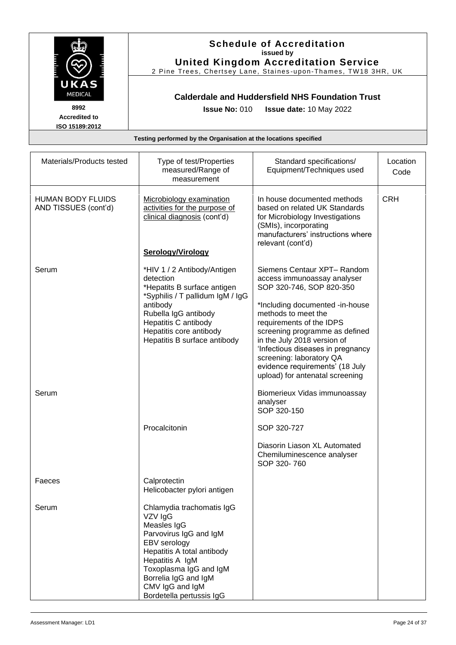|                                                                   |                                                                                                                                                                                                                                    | <b>Schedule of Accreditation</b><br>issued by<br><b>United Kingdom Accreditation Service</b><br>2 Pine Trees, Chertsey Lane, Staines-upon-Thames, TW18 3HR, UK                                                                                                                                                                                                                       |                  |
|-------------------------------------------------------------------|------------------------------------------------------------------------------------------------------------------------------------------------------------------------------------------------------------------------------------|--------------------------------------------------------------------------------------------------------------------------------------------------------------------------------------------------------------------------------------------------------------------------------------------------------------------------------------------------------------------------------------|------------------|
| UKAS<br>MEDICAL<br>8992<br><b>Accredited to</b><br>ISO 15189:2012 | <b>Calderdale and Huddersfield NHS Foundation Trust</b><br><b>Issue No: 010</b><br>Issue date: 10 May 2022                                                                                                                         |                                                                                                                                                                                                                                                                                                                                                                                      |                  |
|                                                                   | Testing performed by the Organisation at the locations specified                                                                                                                                                                   |                                                                                                                                                                                                                                                                                                                                                                                      |                  |
| Materials/Products tested                                         | Type of test/Properties<br>measured/Range of<br>measurement                                                                                                                                                                        | Standard specifications/<br>Equipment/Techniques used                                                                                                                                                                                                                                                                                                                                | Location<br>Code |
| <b>HUMAN BODY FLUIDS</b><br>AND TISSUES (cont'd)                  | Microbiology examination<br>activities for the purpose of<br>clinical diagnosis (cont'd)<br>Serology/Virology                                                                                                                      | In house documented methods<br>based on related UK Standards<br>for Microbiology Investigations<br>(SMIs), incorporating<br>manufacturers' instructions where<br>relevant (cont'd)                                                                                                                                                                                                   | <b>CRH</b>       |
| Serum                                                             | *HIV 1 / 2 Antibody/Antigen<br>detection<br>*Hepatits B surface antigen<br>*Syphilis / T pallidum IgM / IgG<br>antibody<br>Rubella IgG antibody<br>Hepatitis C antibody<br>Hepatitis core antibody<br>Hepatitis B surface antibody | Siemens Centaur XPT- Random<br>access immunoassay analyser<br>SOP 320-746, SOP 820-350<br>*Including documented -in-house<br>methods to meet the<br>requirements of the IDPS<br>screening programme as defined<br>in the July 2018 version of<br>'Infectious diseases in pregnancy<br>screening: laboratory QA<br>evidence requirements' (18 July<br>upload) for antenatal screening |                  |
| Serum                                                             | Procalcitonin                                                                                                                                                                                                                      | Biomerieux Vidas immunoassay<br>analyser<br>SOP 320-150<br>SOP 320-727<br>Diasorin Liason XL Automated                                                                                                                                                                                                                                                                               |                  |
| Faeces                                                            | Calprotectin<br>Helicobacter pylori antigen                                                                                                                                                                                        | Chemiluminescence analyser<br>SOP 320-760                                                                                                                                                                                                                                                                                                                                            |                  |
| Serum                                                             | Chlamydia trachomatis IgG<br>VZV IgG<br>Measles IgG<br>Parvovirus IgG and IgM<br>EBV serology<br>Hepatitis A total antibody<br>Hepatitis A IgM<br>Toxoplasma IgG and IgM                                                           |                                                                                                                                                                                                                                                                                                                                                                                      |                  |

Borrelia IgG and IgM CMV IgG and IgM Bordetella pertussis IgG

 $\overline{\phantom{a}}$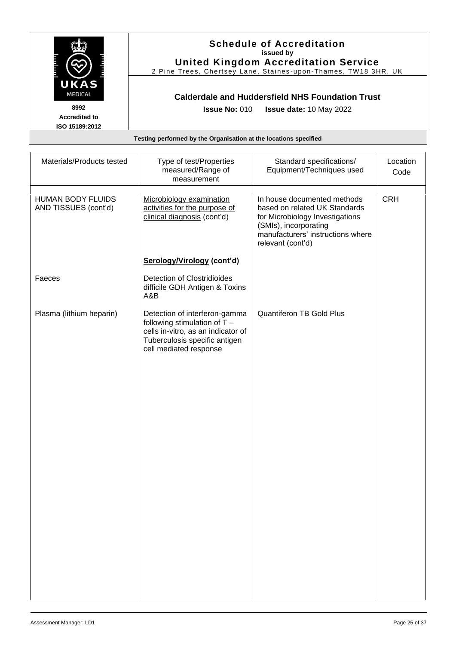|                                                                          |                                                                                                                   | <b>Schedule of Accreditation</b><br>issued by<br><b>United Kingdom Accreditation Service</b><br>2 Pine Trees, Chertsey Lane, Staines-upon-Thames, TW18 3HR, UK |                  |
|--------------------------------------------------------------------------|-------------------------------------------------------------------------------------------------------------------|----------------------------------------------------------------------------------------------------------------------------------------------------------------|------------------|
| UKAS<br><b>MEDICAL</b><br>8992<br><b>Accredited to</b><br>ISO 15189:2012 | <b>Calderdale and Huddersfield NHS Foundation Trust</b><br><b>Issue No: 010</b><br><b>Issue date: 10 May 2022</b> |                                                                                                                                                                |                  |
|                                                                          | Testing performed by the Organisation at the locations specified                                                  |                                                                                                                                                                |                  |
|                                                                          |                                                                                                                   |                                                                                                                                                                |                  |
| Materials/Products tested                                                | Type of test/Properties<br>measured/Range of                                                                      | Standard specifications/<br>Equipment/Techniques used                                                                                                          | ∟ocation<br>Code |

|                                                  | measured/Range of<br>measurement                                                                                                                                 | Equipment/Techniques used                                                                                                                                                          | Code       |
|--------------------------------------------------|------------------------------------------------------------------------------------------------------------------------------------------------------------------|------------------------------------------------------------------------------------------------------------------------------------------------------------------------------------|------------|
| <b>HUMAN BODY FLUIDS</b><br>AND TISSUES (cont'd) | Microbiology examination<br>activities for the purpose of<br>clinical diagnosis (cont'd)                                                                         | In house documented methods<br>based on related UK Standards<br>for Microbiology Investigations<br>(SMIs), incorporating<br>manufacturers' instructions where<br>relevant (cont'd) | <b>CRH</b> |
|                                                  | Serology/Virology (cont'd)                                                                                                                                       |                                                                                                                                                                                    |            |
| Faeces                                           | <b>Detection of Clostridioides</b><br>difficile GDH Antigen & Toxins<br>A&B                                                                                      |                                                                                                                                                                                    |            |
| Plasma (lithium heparin)                         | Detection of interferon-gamma<br>following stimulation of $T -$<br>cells in-vitro, as an indicator of<br>Tuberculosis specific antigen<br>cell mediated response | <b>Quantiferon TB Gold Plus</b>                                                                                                                                                    |            |
|                                                  |                                                                                                                                                                  |                                                                                                                                                                                    |            |
|                                                  |                                                                                                                                                                  |                                                                                                                                                                                    |            |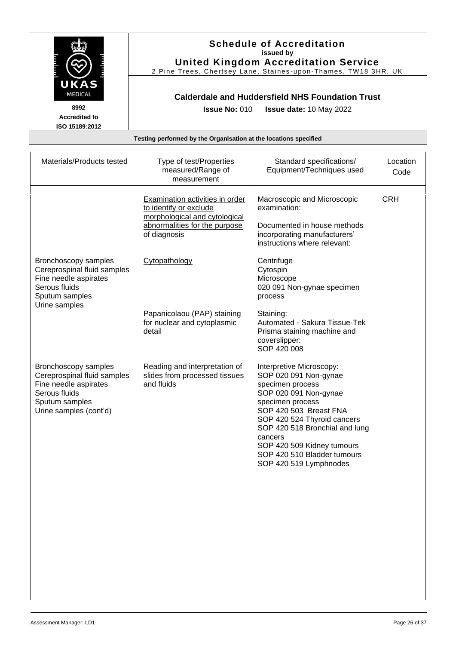|                        | <b>Schedule of Accreditation</b><br>issued by                    |
|------------------------|------------------------------------------------------------------|
|                        | <b>United Kingdom Accreditation Service</b>                      |
|                        | 2 Pine Trees, Chertsey Lane, Staines-upon-Thames, TW18 3HR, UK   |
| UKAS<br><b>MEDICAL</b> | <b>Calderdale and Huddersfield NHS Foundation Trust</b>          |
| 8992                   | <b>Issue No: 010</b><br><b>Issue date: 10 May 2022</b>           |
| <b>Accredited to</b>   |                                                                  |
| ISO 15189:2012         |                                                                  |
|                        | Testing performed by the Organisation at the locations specified |

| Materials/Products tested                                                                                                                 | Type of test/Properties<br>measured/Range of<br>measurement                                                                                        | Standard specifications/<br>Equipment/Techniques used                                                                                                                                                                                                                                                           | Location<br>Code |
|-------------------------------------------------------------------------------------------------------------------------------------------|----------------------------------------------------------------------------------------------------------------------------------------------------|-----------------------------------------------------------------------------------------------------------------------------------------------------------------------------------------------------------------------------------------------------------------------------------------------------------------|------------------|
|                                                                                                                                           | <b>Examination activities in order</b><br>to identify or exclude<br>morphological and cytological<br>abnormalities for the purpose<br>of diagnosis | Macroscopic and Microscopic<br>examination:<br>Documented in house methods<br>incorporating manufacturers'<br>instructions where relevant:                                                                                                                                                                      | <b>CRH</b>       |
| Bronchoscopy samples<br>Cereprospinal fluid samples<br>Fine needle aspirates<br>Serous fluids<br>Sputum samples<br>Urine samples          | Cytopathology                                                                                                                                      | Centrifuge<br>Cytospin<br>Microscope<br>020 091 Non-gynae specimen<br>process                                                                                                                                                                                                                                   |                  |
|                                                                                                                                           | Papanicolaou (PAP) staining<br>for nuclear and cytoplasmic<br>detail                                                                               | Staining:<br>Automated - Sakura Tissue-Tek<br>Prisma staining machine and<br>coverslipper:<br>SOP 420 008                                                                                                                                                                                                       |                  |
| Bronchoscopy samples<br>Cereprospinal fluid samples<br>Fine needle aspirates<br>Serous fluids<br>Sputum samples<br>Urine samples (cont'd) | Reading and interpretation of<br>slides from processed tissues<br>and fluids                                                                       | Interpretive Microscopy:<br>SOP 020 091 Non-gynae<br>specimen process<br>SOP 020 091 Non-gynae<br>specimen process<br>SOP 420 503 Breast FNA<br>SOP 420 524 Thyroid cancers<br>SOP 420 518 Bronchial and lung<br>cancers<br>SOP 420 509 Kidney tumours<br>SOP 420 510 Bladder tumours<br>SOP 420 519 Lymphnodes |                  |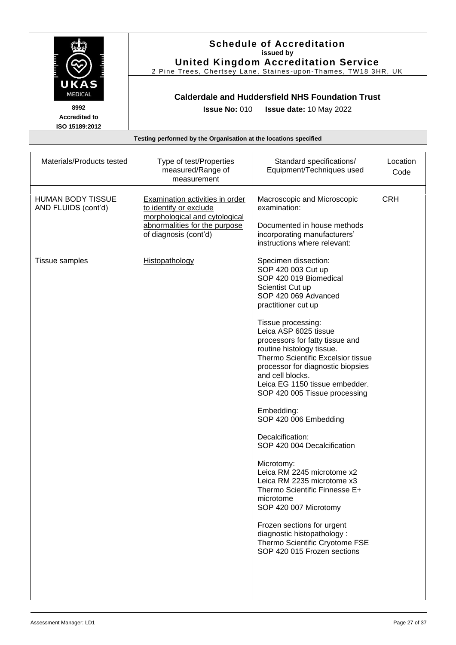| UKAS<br><b>MEDICAL</b><br>8992<br><b>Accredited to</b><br>ISO 15189:2012 | <b>Schedule of Accreditation</b><br>issued by<br><b>United Kingdom Accreditation Service</b><br>2 Pine Trees, Chertsey Lane, Staines-upon-Thames, TW18 3HR, UK<br><b>Calderdale and Huddersfield NHS Foundation Trust</b><br><b>Issue No: 010</b><br><b>Issue date: 10 May 2022</b><br>Testing performed by the Organisation at the locations specified |                                                                                                                                            |                  |
|--------------------------------------------------------------------------|---------------------------------------------------------------------------------------------------------------------------------------------------------------------------------------------------------------------------------------------------------------------------------------------------------------------------------------------------------|--------------------------------------------------------------------------------------------------------------------------------------------|------------------|
|                                                                          |                                                                                                                                                                                                                                                                                                                                                         |                                                                                                                                            |                  |
| Materials/Products tested                                                | Type of test/Properties<br>measured/Range of<br>measurement                                                                                                                                                                                                                                                                                             | Standard specifications/<br>Equipment/Techniques used                                                                                      | Location<br>Code |
| <b>HUMAN BODY TISSUE</b><br>AND FLUIDS (cont'd)                          | Examination activities in order<br>to identify or exclude<br>morphological and cytological<br>abnormalities for the purpose<br>of diagnosis (cont'd)                                                                                                                                                                                                    | Macroscopic and Microscopic<br>examination:<br>Documented in house methods<br>incorporating manufacturers'<br>instructions where relevant: | <b>CRH</b>       |
| Tissue samples                                                           | Histopathology                                                                                                                                                                                                                                                                                                                                          | Specimen dissection:                                                                                                                       |                  |

|                | aditomantes for the purpose<br>of diagnosis (cont'd) | <b>DUCULLIGITIGA III HOUSE HIGHTOUS</b><br>incorporating manufacturers'<br>instructions where relevant:                                                                                                                                                                                                                                                                                                                                                                                                                                                                                                                                                                                                                                                                                          |
|----------------|------------------------------------------------------|--------------------------------------------------------------------------------------------------------------------------------------------------------------------------------------------------------------------------------------------------------------------------------------------------------------------------------------------------------------------------------------------------------------------------------------------------------------------------------------------------------------------------------------------------------------------------------------------------------------------------------------------------------------------------------------------------------------------------------------------------------------------------------------------------|
| Tissue samples | Histopathology                                       | Specimen dissection:<br>SOP 420 003 Cut up<br>SOP 420 019 Biomedical<br>Scientist Cut up<br>SOP 420 069 Advanced<br>practitioner cut up<br>Tissue processing:<br>Leica ASP 6025 tissue<br>processors for fatty tissue and<br>routine histology tissue.<br>Thermo Scientific Excelsior tissue<br>processor for diagnostic biopsies<br>and cell blocks.<br>Leica EG 1150 tissue embedder.<br>SOP 420 005 Tissue processing<br>Embedding:<br>SOP 420 006 Embedding<br>Decalcification:<br>SOP 420 004 Decalcification<br>Microtomy:<br>Leica RM 2245 microtome x2<br>Leica RM 2235 microtome x3<br>Thermo Scientific Finnesse E+<br>microtome<br>SOP 420 007 Microtomy<br>Frozen sections for urgent<br>diagnostic histopathology:<br>Thermo Scientific Cryotome FSE<br>SOP 420 015 Frozen sections |
|                |                                                      |                                                                                                                                                                                                                                                                                                                                                                                                                                                                                                                                                                                                                                                                                                                                                                                                  |
|                |                                                      |                                                                                                                                                                                                                                                                                                                                                                                                                                                                                                                                                                                                                                                                                                                                                                                                  |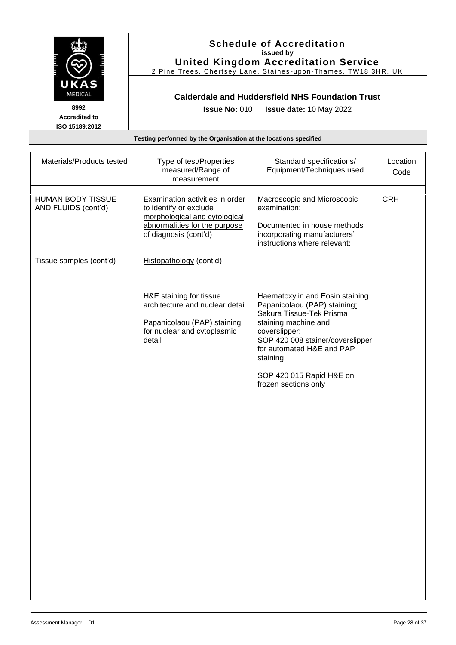| UKAS                                                             |                                                                  | <b>Schedule of Accreditation</b><br>issued by<br><b>United Kingdom Accreditation Service</b><br>2 Pine Trees, Chertsey Lane, Staines-upon-Thames, TW18 3HR, UK |          |
|------------------------------------------------------------------|------------------------------------------------------------------|----------------------------------------------------------------------------------------------------------------------------------------------------------------|----------|
| <b>MEDICAL</b><br>8992<br><b>Accredited to</b><br>ISO 15189:2012 | <b>Issue No: 010</b>                                             | <b>Calderdale and Huddersfield NHS Foundation Trust</b><br><b>Issue date: 10 May 2022</b>                                                                      |          |
|                                                                  | Testing performed by the Organisation at the locations specified |                                                                                                                                                                |          |
| Materials/Products tested                                        | Type of test/Properties                                          | Standard specifications/                                                                                                                                       | _ocation |

| Materials/Products tested                | Type of test/Properties<br>measured/Range of<br>measurement                                                                                                 | Standard specifications/<br>Equipment/Techniques used                                                                                                                                                                                                                 | Location<br>Code |
|------------------------------------------|-------------------------------------------------------------------------------------------------------------------------------------------------------------|-----------------------------------------------------------------------------------------------------------------------------------------------------------------------------------------------------------------------------------------------------------------------|------------------|
| HUMAN BODY TISSUE<br>AND FLUIDS (cont'd) | <b>Examination activities in order</b><br>to identify or exclude<br>morphological and cytological<br>abnormalities for the purpose<br>of diagnosis (cont'd) | Macroscopic and Microscopic<br>examination:<br>Documented in house methods<br>incorporating manufacturers'<br>instructions where relevant:                                                                                                                            | <b>CRH</b>       |
| Tissue samples (cont'd)                  | Histopathology (cont'd)                                                                                                                                     |                                                                                                                                                                                                                                                                       |                  |
|                                          | H&E staining for tissue<br>architecture and nuclear detail<br>Papanicolaou (PAP) staining<br>for nuclear and cytoplasmic<br>detail                          | Haematoxylin and Eosin staining<br>Papanicolaou (PAP) staining:<br>Sakura Tissue-Tek Prisma<br>staining machine and<br>coverslipper:<br>SOP 420 008 stainer/coverslipper<br>for automated H&E and PAP<br>staining<br>SOP 420 015 Rapid H&E on<br>frozen sections only |                  |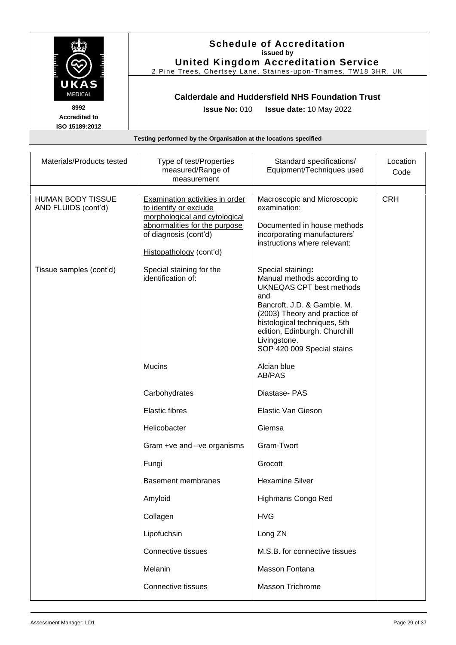| UKAS<br><b>MEDICAL</b><br>8992<br><b>Accredited to</b><br>ISO 15189:2012 | <b>Issue No: 010</b>                                             | <b>Schedule of Accreditation</b><br>issued by<br><b>United Kingdom Accreditation Service</b><br>2 Pine Trees, Chertsey Lane, Staines-upon-Thames, TW18 3HR, UK<br><b>Calderdale and Huddersfield NHS Foundation Trust</b><br><b>Issue date: 10 May 2022</b> |                  |
|--------------------------------------------------------------------------|------------------------------------------------------------------|-------------------------------------------------------------------------------------------------------------------------------------------------------------------------------------------------------------------------------------------------------------|------------------|
|                                                                          | Testing performed by the Organisation at the locations specified |                                                                                                                                                                                                                                                             |                  |
|                                                                          |                                                                  |                                                                                                                                                                                                                                                             |                  |
| Materials/Products tested                                                | Type of test/Properties<br>measured/Range of<br>measurement      | Standard specifications/<br>Equipment/Techniques used                                                                                                                                                                                                       | Location<br>Code |

|                                                 | measured/Range of<br>measurement                                                                                                                                                       | Equipment/Techniques used                                                                                                                                                                                                                                                 | Code       |
|-------------------------------------------------|----------------------------------------------------------------------------------------------------------------------------------------------------------------------------------------|---------------------------------------------------------------------------------------------------------------------------------------------------------------------------------------------------------------------------------------------------------------------------|------------|
| <b>HUMAN BODY TISSUE</b><br>AND FLUIDS (cont'd) | <b>Examination activities in order</b><br>to identify or exclude<br>morphological and cytological<br>abnormalities for the purpose<br>of diagnosis (cont'd)<br>Histopathology (cont'd) | Macroscopic and Microscopic<br>examination:<br>Documented in house methods<br>incorporating manufacturers'<br>instructions where relevant:                                                                                                                                | <b>CRH</b> |
| Tissue samples (cont'd)                         | Special staining for the<br>identification of:                                                                                                                                         | Special staining:<br>Manual methods according to<br><b>UKNEQAS CPT best methods</b><br>and<br>Bancroft, J.D. & Gamble, M.<br>(2003) Theory and practice of<br>histological techniques, 5th<br>edition, Edinburgh. Churchill<br>Livingstone.<br>SOP 420 009 Special stains |            |
|                                                 | <b>Mucins</b>                                                                                                                                                                          | Alcian blue<br>AB/PAS                                                                                                                                                                                                                                                     |            |
|                                                 | Carbohydrates                                                                                                                                                                          | Diastase-PAS                                                                                                                                                                                                                                                              |            |
|                                                 | <b>Elastic fibres</b>                                                                                                                                                                  | Elastic Van Gieson                                                                                                                                                                                                                                                        |            |
|                                                 | Helicobacter                                                                                                                                                                           | Giemsa                                                                                                                                                                                                                                                                    |            |
|                                                 | Gram +ve and -ve organisms                                                                                                                                                             | Gram-Twort                                                                                                                                                                                                                                                                |            |
|                                                 | Fungi                                                                                                                                                                                  | Grocott                                                                                                                                                                                                                                                                   |            |
|                                                 | <b>Basement membranes</b>                                                                                                                                                              | <b>Hexamine Silver</b>                                                                                                                                                                                                                                                    |            |
|                                                 | Amyloid                                                                                                                                                                                | <b>Highmans Congo Red</b>                                                                                                                                                                                                                                                 |            |
|                                                 | Collagen                                                                                                                                                                               | <b>HVG</b>                                                                                                                                                                                                                                                                |            |
|                                                 | Lipofuchsin                                                                                                                                                                            | Long ZN                                                                                                                                                                                                                                                                   |            |
|                                                 | Connective tissues                                                                                                                                                                     | M.S.B. for connective tissues                                                                                                                                                                                                                                             |            |
|                                                 | Melanin                                                                                                                                                                                | Masson Fontana                                                                                                                                                                                                                                                            |            |
|                                                 | Connective tissues                                                                                                                                                                     | <b>Masson Trichrome</b>                                                                                                                                                                                                                                                   |            |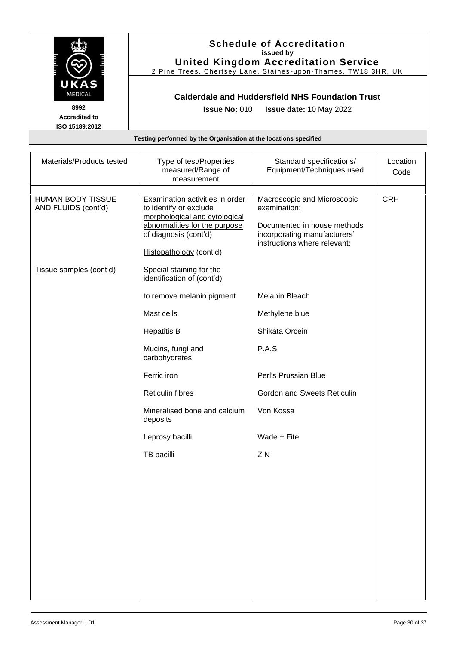|                                                                          |                                                                                                         | <b>Schedule of Accreditation</b><br>issued by<br><b>United Kingdom Accreditation Service</b><br>2 Pine Trees, Chertsey Lane, Staines-upon-Thames, TW18 3HR, UK |                           |
|--------------------------------------------------------------------------|---------------------------------------------------------------------------------------------------------|----------------------------------------------------------------------------------------------------------------------------------------------------------------|---------------------------|
| UKAS<br><b>MEDICAL</b><br>8992<br><b>Accredited to</b><br>ISO 15189:2012 | <b>Calderdale and Huddersfield NHS Foundation Trust</b><br><b>Issue No: 010 Issue date: 10 May 2022</b> |                                                                                                                                                                |                           |
|                                                                          | Testing performed by the Organisation at the locations specified                                        |                                                                                                                                                                |                           |
| Materials/Products tested                                                | Type of test/Properties<br>measured/Range of                                                            | Standard specifications/<br>Fauinment/Techniques used                                                                                                          | ∟ocation<br>$\sim$ $\sim$ |

| Materials/Products tested                       | i ype or test riuperties<br>measured/Range of<br>measurement                                                                                                                           | Standard specifications/<br>Equipment/Techniques used                                                                                      | Location<br>Code |
|-------------------------------------------------|----------------------------------------------------------------------------------------------------------------------------------------------------------------------------------------|--------------------------------------------------------------------------------------------------------------------------------------------|------------------|
| <b>HUMAN BODY TISSUE</b><br>AND FLUIDS (cont'd) | <b>Examination activities in order</b><br>to identify or exclude<br>morphological and cytological<br>abnormalities for the purpose<br>of diagnosis (cont'd)<br>Histopathology (cont'd) | Macroscopic and Microscopic<br>examination:<br>Documented in house methods<br>incorporating manufacturers'<br>instructions where relevant: | <b>CRH</b>       |
| Tissue samples (cont'd)                         | Special staining for the<br>identification of (cont'd):                                                                                                                                |                                                                                                                                            |                  |
|                                                 | to remove melanin pigment                                                                                                                                                              | Melanin Bleach                                                                                                                             |                  |
|                                                 | Mast cells                                                                                                                                                                             | Methylene blue                                                                                                                             |                  |
|                                                 | <b>Hepatitis B</b>                                                                                                                                                                     | Shikata Orcein                                                                                                                             |                  |
|                                                 | Mucins, fungi and<br>carbohydrates                                                                                                                                                     | P.A.S.                                                                                                                                     |                  |
|                                                 | Ferric iron                                                                                                                                                                            | Perl's Prussian Blue                                                                                                                       |                  |
|                                                 | <b>Reticulin fibres</b>                                                                                                                                                                | Gordon and Sweets Reticulin                                                                                                                |                  |
|                                                 | Mineralised bone and calcium<br>deposits                                                                                                                                               | Von Kossa                                                                                                                                  |                  |
|                                                 | Leprosy bacilli                                                                                                                                                                        | Wade + Fite                                                                                                                                |                  |
|                                                 | TB bacilli                                                                                                                                                                             | ZN                                                                                                                                         |                  |
|                                                 |                                                                                                                                                                                        |                                                                                                                                            |                  |
|                                                 |                                                                                                                                                                                        |                                                                                                                                            |                  |
|                                                 |                                                                                                                                                                                        |                                                                                                                                            |                  |
|                                                 |                                                                                                                                                                                        |                                                                                                                                            |                  |
|                                                 |                                                                                                                                                                                        |                                                                                                                                            |                  |
|                                                 |                                                                                                                                                                                        |                                                                                                                                            |                  |
|                                                 |                                                                                                                                                                                        |                                                                                                                                            |                  |
|                                                 |                                                                                                                                                                                        |                                                                                                                                            |                  |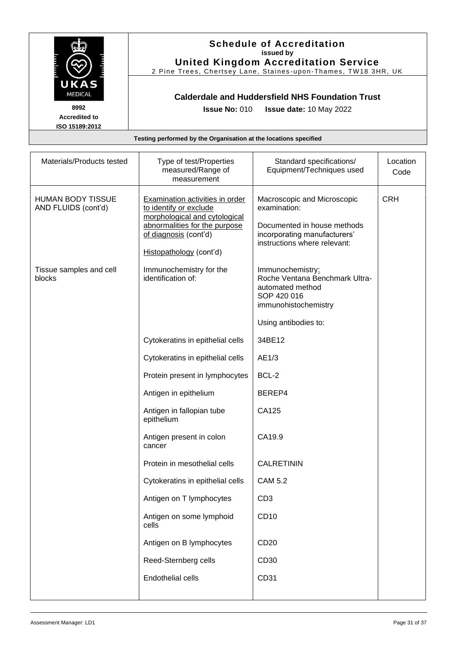|                                                                          |                                                                                                            | <b>Schedule of Accreditation</b><br>issued by<br><b>United Kingdom Accreditation Service</b><br>2 Pine Trees, Chertsey Lane, Staines-upon-Thames, TW18 3HR, UK |                  |
|--------------------------------------------------------------------------|------------------------------------------------------------------------------------------------------------|----------------------------------------------------------------------------------------------------------------------------------------------------------------|------------------|
| UKAS<br><b>MEDICAL</b><br>8992<br><b>Accredited to</b><br>ISO 15189:2012 | Calderdale and Huddersfield NHS Foundation Trust<br><b>Issue No: 010</b><br><b>Issue date: 10 May 2022</b> |                                                                                                                                                                |                  |
|                                                                          | Testing performed by the Organisation at the locations specified                                           |                                                                                                                                                                |                  |
|                                                                          |                                                                                                            |                                                                                                                                                                |                  |
| Materials/Products tested                                                | Type of test/Properties<br>measured/Range of                                                               | Standard specifications/<br>Equipment/Techniques used                                                                                                          | Location<br>Code |

|                                                 | measured/Range of<br>measurement                                                                                                                                                       | Equipment/Techniques used                                                                                                                  | Code       |
|-------------------------------------------------|----------------------------------------------------------------------------------------------------------------------------------------------------------------------------------------|--------------------------------------------------------------------------------------------------------------------------------------------|------------|
| <b>HUMAN BODY TISSUE</b><br>AND FLUIDS (cont'd) | <b>Examination activities in order</b><br>to identify or exclude<br>morphological and cytological<br>abnormalities for the purpose<br>of diagnosis (cont'd)<br>Histopathology (cont'd) | Macroscopic and Microscopic<br>examination:<br>Documented in house methods<br>incorporating manufacturers'<br>instructions where relevant: | <b>CRH</b> |
| Tissue samples and cell<br>blocks               | Immunochemistry for the<br>identification of:                                                                                                                                          | Immunochemistry:<br>Roche Ventana Benchmark Ultra-<br>automated method<br>SOP 420 016<br>immunohistochemistry<br>Using antibodies to:      |            |
|                                                 | Cytokeratins in epithelial cells                                                                                                                                                       | 34BE12                                                                                                                                     |            |
|                                                 | Cytokeratins in epithelial cells                                                                                                                                                       | AE1/3                                                                                                                                      |            |
|                                                 | Protein present in lymphocytes                                                                                                                                                         | BCL-2                                                                                                                                      |            |
|                                                 | Antigen in epithelium                                                                                                                                                                  | BEREP4                                                                                                                                     |            |
|                                                 | Antigen in fallopian tube<br>epithelium                                                                                                                                                | CA125                                                                                                                                      |            |
|                                                 | Antigen present in colon<br>cancer                                                                                                                                                     | CA19.9                                                                                                                                     |            |
|                                                 | Protein in mesothelial cells                                                                                                                                                           | <b>CALRETININ</b>                                                                                                                          |            |
|                                                 | Cytokeratins in epithelial cells                                                                                                                                                       | <b>CAM 5.2</b>                                                                                                                             |            |
|                                                 | Antigen on T lymphocytes                                                                                                                                                               | CD <sub>3</sub>                                                                                                                            |            |
|                                                 | Antigen on some lymphoid<br>cells                                                                                                                                                      | <b>CD10</b>                                                                                                                                |            |
|                                                 | Antigen on B lymphocytes                                                                                                                                                               | CD <sub>20</sub>                                                                                                                           |            |
|                                                 | Reed-Sternberg cells                                                                                                                                                                   | CD30                                                                                                                                       |            |
|                                                 | <b>Endothelial cells</b>                                                                                                                                                               | CD31                                                                                                                                       |            |
|                                                 |                                                                                                                                                                                        |                                                                                                                                            |            |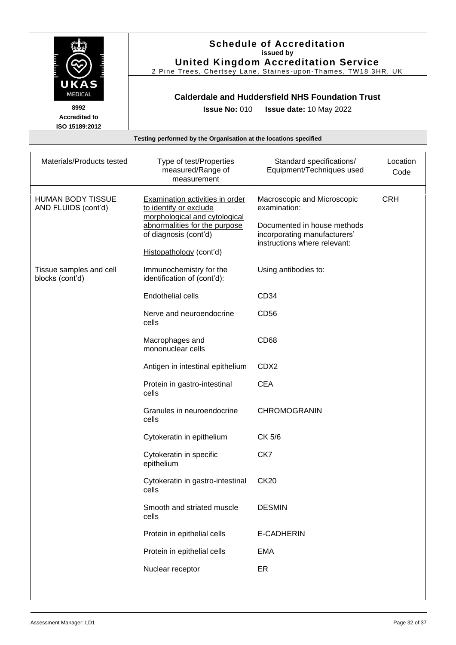|                        |                                                                  | <b>Schedule of Accreditation</b><br>issued by                  |
|------------------------|------------------------------------------------------------------|----------------------------------------------------------------|
|                        |                                                                  | <b>United Kingdom Accreditation Service</b>                    |
|                        |                                                                  | 2 Pine Trees, Chertsey Lane, Staines-upon-Thames, TW18 3HR, UK |
| UKAS<br><b>MEDICAL</b> |                                                                  | <b>Calderdale and Huddersfield NHS Foundation Trust</b>        |
| 8992                   | <b>Issue No: 010</b>                                             | <b>Issue date: 10 May 2022</b>                                 |
| <b>Accredited to</b>   |                                                                  |                                                                |
| ISO 15189:2012         |                                                                  |                                                                |
|                        | Testing performed by the Organisation at the locations specified |                                                                |
|                        | Tung of toot/Dronomias                                           | $C$ tondord onooifiootionol                                    |

| Materials/Products tested                       | Type of test/Properties<br>measured/Range of<br>measurement                                                                                                                            | Standard specifications/<br>Equipment/Techniques used                                                                                      | Location<br>Code |
|-------------------------------------------------|----------------------------------------------------------------------------------------------------------------------------------------------------------------------------------------|--------------------------------------------------------------------------------------------------------------------------------------------|------------------|
| <b>HUMAN BODY TISSUE</b><br>AND FLUIDS (cont'd) | <b>Examination activities in order</b><br>to identify or exclude<br>morphological and cytological<br>abnormalities for the purpose<br>of diagnosis (cont'd)<br>Histopathology (cont'd) | Macroscopic and Microscopic<br>examination:<br>Documented in house methods<br>incorporating manufacturers'<br>instructions where relevant: | <b>CRH</b>       |
| Tissue samples and cell<br>blocks (cont'd)      | Immunochemistry for the<br>identification of (cont'd):                                                                                                                                 | Using antibodies to:                                                                                                                       |                  |
|                                                 | Endothelial cells                                                                                                                                                                      | CD34                                                                                                                                       |                  |
|                                                 | Nerve and neuroendocrine<br>cells                                                                                                                                                      | CD <sub>56</sub>                                                                                                                           |                  |
|                                                 | Macrophages and<br>mononuclear cells                                                                                                                                                   | CD <sub>68</sub>                                                                                                                           |                  |
|                                                 | Antigen in intestinal epithelium                                                                                                                                                       | CDX2                                                                                                                                       |                  |
|                                                 | Protein in gastro-intestinal<br>cells                                                                                                                                                  | <b>CEA</b>                                                                                                                                 |                  |
|                                                 | Granules in neuroendocrine<br>cells                                                                                                                                                    | <b>CHROMOGRANIN</b>                                                                                                                        |                  |
|                                                 | Cytokeratin in epithelium                                                                                                                                                              | CK 5/6                                                                                                                                     |                  |
|                                                 | Cytokeratin in specific<br>epithelium                                                                                                                                                  | CK7                                                                                                                                        |                  |
|                                                 | Cytokeratin in gastro-intestinal<br>cells                                                                                                                                              | <b>CK20</b>                                                                                                                                |                  |
|                                                 | Smooth and striated muscle<br>cells                                                                                                                                                    | <b>DESMIN</b>                                                                                                                              |                  |
|                                                 | Protein in epithelial cells                                                                                                                                                            | E-CADHERIN                                                                                                                                 |                  |
|                                                 | Protein in epithelial cells                                                                                                                                                            | <b>EMA</b>                                                                                                                                 |                  |
|                                                 | Nuclear receptor                                                                                                                                                                       | ER                                                                                                                                         |                  |
|                                                 |                                                                                                                                                                                        |                                                                                                                                            |                  |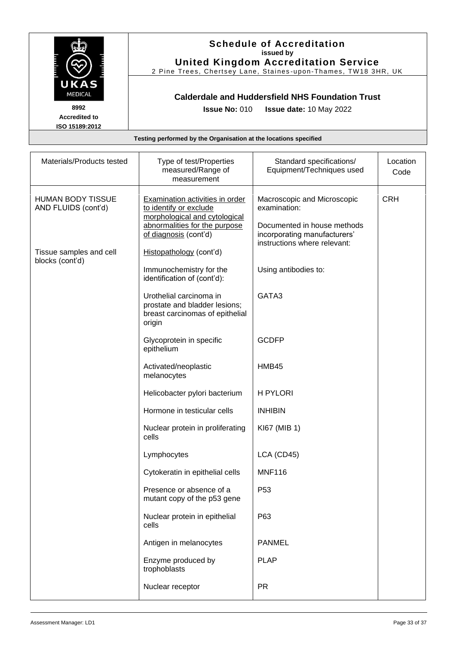|                                                                  | issued by                                             |                                                                                                                                                                                                                                                       |
|------------------------------------------------------------------|-------------------------------------------------------|-------------------------------------------------------------------------------------------------------------------------------------------------------------------------------------------------------------------------------------------------------|
|                                                                  |                                                       |                                                                                                                                                                                                                                                       |
| Testing performed by the Organisation at the locations specified |                                                       |                                                                                                                                                                                                                                                       |
| Type of test/Properties<br>measured/Range of<br>measurement      | Standard specifications/<br>Equipment/Techniques used | Location<br>Code                                                                                                                                                                                                                                      |
|                                                                  |                                                       | <b>Schedule of Accreditation</b><br><b>United Kingdom Accreditation Service</b><br>2 Pine Trees, Chertsey Lane, Staines-upon-Thames, TW18 3HR, UK<br>Calderdale and Huddersfield NHS Foundation Trust<br><b>Issue No: 010 Issue date: 10 May 2022</b> |

|                                                 | measurement                                                                                                                                          |                                                                                                                                            |            |
|-------------------------------------------------|------------------------------------------------------------------------------------------------------------------------------------------------------|--------------------------------------------------------------------------------------------------------------------------------------------|------------|
| <b>HUMAN BODY TISSUE</b><br>AND FLUIDS (cont'd) | Examination activities in order<br>to identify or exclude<br>morphological and cytological<br>abnormalities for the purpose<br>of diagnosis (cont'd) | Macroscopic and Microscopic<br>examination:<br>Documented in house methods<br>incorporating manufacturers'<br>instructions where relevant: | <b>CRH</b> |
| Tissue samples and cell<br>blocks (cont'd)      | Histopathology (cont'd)                                                                                                                              |                                                                                                                                            |            |
|                                                 | Immunochemistry for the<br>identification of (cont'd):                                                                                               | Using antibodies to:                                                                                                                       |            |
|                                                 | Urothelial carcinoma in<br>prostate and bladder lesions;<br>breast carcinomas of epithelial<br>origin                                                | GATA3                                                                                                                                      |            |
|                                                 | Glycoprotein in specific<br>epithelium                                                                                                               | <b>GCDFP</b>                                                                                                                               |            |
|                                                 | Activated/neoplastic<br>melanocytes                                                                                                                  | HMB45                                                                                                                                      |            |
|                                                 | Helicobacter pylori bacterium                                                                                                                        | H PYLORI                                                                                                                                   |            |
|                                                 | Hormone in testicular cells                                                                                                                          | <b>INHIBIN</b>                                                                                                                             |            |
|                                                 | Nuclear protein in proliferating<br>cells                                                                                                            | KI67 (MIB 1)                                                                                                                               |            |
|                                                 | Lymphocytes                                                                                                                                          | LCA (CD45)                                                                                                                                 |            |
|                                                 | Cytokeratin in epithelial cells                                                                                                                      | <b>MNF116</b>                                                                                                                              |            |
|                                                 | Presence or absence of a<br>mutant copy of the p53 gene                                                                                              | P <sub>53</sub>                                                                                                                            |            |
|                                                 | Nuclear protein in epithelial<br>cells                                                                                                               | P63                                                                                                                                        |            |
|                                                 | Antigen in melanocytes                                                                                                                               | <b>PANMEL</b>                                                                                                                              |            |
|                                                 | Enzyme produced by<br>trophoblasts                                                                                                                   | <b>PLAP</b>                                                                                                                                |            |
|                                                 | Nuclear receptor                                                                                                                                     | <b>PR</b>                                                                                                                                  |            |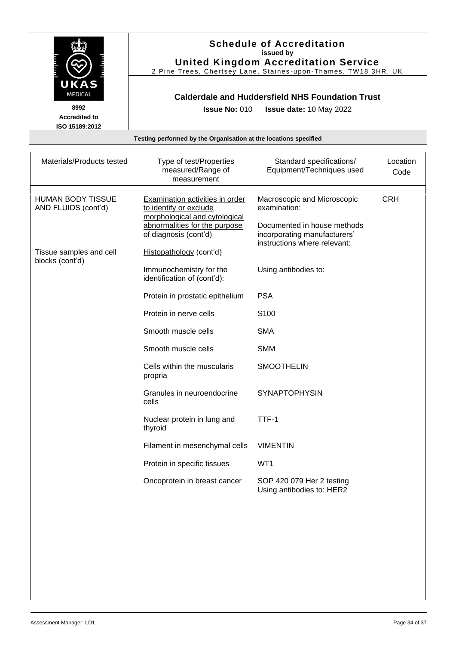| UKAS<br><b>MEDICAL</b>                         |                                                                  | <b>Schedule of Accreditation</b><br>issued by<br><b>United Kingdom Accreditation Service</b><br>2 Pine Trees, Chertsey Lane, Staines-upon-Thames, TW18 3HR, UK<br><b>Calderdale and Huddersfield NHS Foundation Trust</b> |                  |
|------------------------------------------------|------------------------------------------------------------------|---------------------------------------------------------------------------------------------------------------------------------------------------------------------------------------------------------------------------|------------------|
| 8992<br><b>Accredited to</b><br>ISO 15189:2012 |                                                                  | <b>Issue No: 010 Issue date: 10 May 2022</b>                                                                                                                                                                              |                  |
|                                                | Testing performed by the Organisation at the locations specified |                                                                                                                                                                                                                           |                  |
|                                                |                                                                  |                                                                                                                                                                                                                           |                  |
| Materials/Products tested                      | Type of test/Properties<br>measured/Range of<br>measurement      | Standard specifications/<br>Equipment/Techniques used                                                                                                                                                                     | Location<br>Code |

|                                                 | measured/Range of<br>measurement                                                                                                                            | Equipment/Techniques used                                                                                                                  | Code       |
|-------------------------------------------------|-------------------------------------------------------------------------------------------------------------------------------------------------------------|--------------------------------------------------------------------------------------------------------------------------------------------|------------|
| <b>HUMAN BODY TISSUE</b><br>AND FLUIDS (cont'd) | <b>Examination activities in order</b><br>to identify or exclude<br>morphological and cytological<br>abnormalities for the purpose<br>of diagnosis (cont'd) | Macroscopic and Microscopic<br>examination:<br>Documented in house methods<br>incorporating manufacturers'<br>instructions where relevant: | <b>CRH</b> |
| Tissue samples and cell<br>blocks (cont'd)      | Histopathology (cont'd)<br>Immunochemistry for the<br>identification of (cont'd):                                                                           | Using antibodies to:                                                                                                                       |            |
|                                                 | Protein in prostatic epithelium                                                                                                                             | <b>PSA</b>                                                                                                                                 |            |
|                                                 | Protein in nerve cells                                                                                                                                      | S100                                                                                                                                       |            |
|                                                 | Smooth muscle cells                                                                                                                                         | <b>SMA</b>                                                                                                                                 |            |
|                                                 | Smooth muscle cells                                                                                                                                         | <b>SMM</b>                                                                                                                                 |            |
|                                                 | Cells within the muscularis<br>propria                                                                                                                      | <b>SMOOTHELIN</b>                                                                                                                          |            |
|                                                 | Granules in neuroendocrine<br>cells                                                                                                                         | <b>SYNAPTOPHYSIN</b>                                                                                                                       |            |
|                                                 | Nuclear protein in lung and<br>thyroid                                                                                                                      | TTF-1                                                                                                                                      |            |
|                                                 | Filament in mesenchymal cells                                                                                                                               | <b>VIMENTIN</b>                                                                                                                            |            |
|                                                 | Protein in specific tissues                                                                                                                                 | WT1                                                                                                                                        |            |
|                                                 | Oncoprotein in breast cancer                                                                                                                                | SOP 420 079 Her 2 testing<br>Using antibodies to: HER2                                                                                     |            |
|                                                 |                                                                                                                                                             |                                                                                                                                            |            |
|                                                 |                                                                                                                                                             |                                                                                                                                            |            |
|                                                 |                                                                                                                                                             |                                                                                                                                            |            |
|                                                 |                                                                                                                                                             |                                                                                                                                            |            |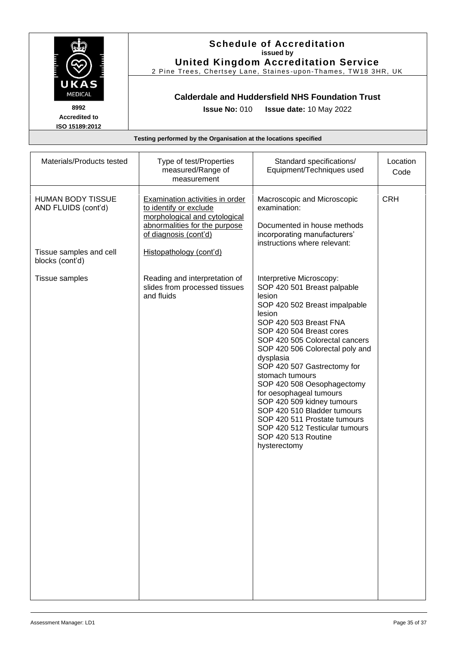| UKAS<br>MEDICAL<br>8992<br><b>Accredited to</b><br>ISO 15189:2012 | <b>Issue No: 010</b>                                                                                                                                 | <b>Schedule of Accreditation</b><br>issued by<br><b>United Kingdom Accreditation Service</b><br>2 Pine Trees, Chertsey Lane, Staines-upon-Thames, TW18 3HR, UK<br><b>Calderdale and Huddersfield NHS Foundation Trust</b><br>Issue date: 10 May 2022 |                  |
|-------------------------------------------------------------------|------------------------------------------------------------------------------------------------------------------------------------------------------|------------------------------------------------------------------------------------------------------------------------------------------------------------------------------------------------------------------------------------------------------|------------------|
|                                                                   | Testing performed by the Organisation at the locations specified                                                                                     |                                                                                                                                                                                                                                                      |                  |
| Materials/Products tested                                         | Type of test/Properties<br>measured/Range of<br>measurement                                                                                          | Standard specifications/<br>Equipment/Techniques used                                                                                                                                                                                                | Location<br>Code |
| <b>HUMAN BODY TISSUE</b><br>AND FLUIDS (cont'd)                   | Examination activities in order<br>to identify or exclude<br>morphological and cytological<br>abnormalities for the purpose<br>of diagnosis (cont'd) | Macroscopic and Microscopic<br>examination:<br>Documented in house methods<br>incorporating manufacturers'<br>instructions where relevant:                                                                                                           | <b>CRH</b>       |
| Tissue samples and cell<br>blocks (cont'd)                        | Histopathology (cont'd)                                                                                                                              |                                                                                                                                                                                                                                                      |                  |
| Tissue samples                                                    | Reading and interpretation of<br>slides from processed tissues<br>and fluids                                                                         | Interpretive Microscopy:<br>SOP 420 501 Breast palpable<br>lesion<br>SOP 420 502 Breast impalpable<br>lesion<br>SOP 420 503 Breast FNA<br>SOP 420 504 Breast cores                                                                                   |                  |

SOP 420 505 Colorectal cancers SOP 420 506 Colorectal poly and

SOP 420 507 Gastrectomy for

SOP 420 508 Oesophagectomy

for oesophageal tumours SOP 420 509 kidney tumours SOP 420 510 Bladder tumours SOP 420 511 Prostate tumours SOP 420 512 Testicular tumours

SOP 420 513 Routine

hysterectomy

dysplasia

stomach tumours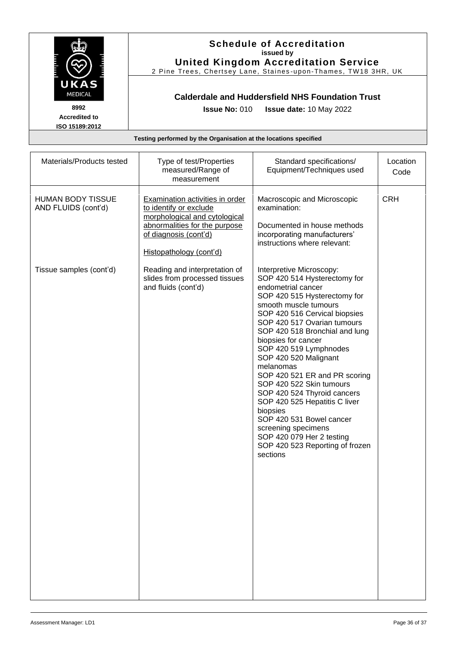|                                                                          |                                                                  | <b>Schedule of Accreditation</b><br>issued by<br><b>United Kingdom Accreditation Service</b><br>2 Pine Trees, Chertsey Lane, Staines-upon-Thames, TW18 3HR, UK |                           |
|--------------------------------------------------------------------------|------------------------------------------------------------------|----------------------------------------------------------------------------------------------------------------------------------------------------------------|---------------------------|
| UKAS<br><b>MEDICAL</b><br>8992<br><b>Accredited to</b><br>ISO 15189:2012 | <b>Issue No: 010</b>                                             | <b>Calderdale and Huddersfield NHS Foundation Trust</b><br><b>Issue date: 10 May 2022</b>                                                                      |                           |
|                                                                          | Testing performed by the Organisation at the locations specified |                                                                                                                                                                |                           |
| Materials/Products tested                                                | Type of test/Properties<br>measured/Range of                     | Standard specifications/<br>Equipment/Techniques used                                                                                                          | ∟ocation<br>$\sim$ $\sim$ |

| alonais/Troudols-loolou                         | $, \, \mu$ , po of toos froportion<br>measured/Range of<br>measurement                                                                                                                 | anaara opoomoanono,<br>Equipment/Techniques used                                                                                                                                                                                                                                                                                                                                                                                                                                                                                                                                                         | ∟∪∪นแ∪⊓<br>Code |
|-------------------------------------------------|----------------------------------------------------------------------------------------------------------------------------------------------------------------------------------------|----------------------------------------------------------------------------------------------------------------------------------------------------------------------------------------------------------------------------------------------------------------------------------------------------------------------------------------------------------------------------------------------------------------------------------------------------------------------------------------------------------------------------------------------------------------------------------------------------------|-----------------|
| <b>HUMAN BODY TISSUE</b><br>AND FLUIDS (cont'd) | <b>Examination activities in order</b><br>to identify or exclude<br>morphological and cytological<br>abnormalities for the purpose<br>of diagnosis (cont'd)<br>Histopathology (cont'd) | Macroscopic and Microscopic<br>examination:<br>Documented in house methods<br>incorporating manufacturers'<br>instructions where relevant:                                                                                                                                                                                                                                                                                                                                                                                                                                                               | <b>CRH</b>      |
| Tissue samples (cont'd)                         | Reading and interpretation of<br>slides from processed tissues<br>and fluids (cont'd)                                                                                                  | Interpretive Microscopy:<br>SOP 420 514 Hysterectomy for<br>endometrial cancer<br>SOP 420 515 Hysterectomy for<br>smooth muscle tumours<br>SOP 420 516 Cervical biopsies<br>SOP 420 517 Ovarian tumours<br>SOP 420 518 Bronchial and lung<br>biopsies for cancer<br>SOP 420 519 Lymphnodes<br>SOP 420 520 Malignant<br>melanomas<br>SOP 420 521 ER and PR scoring<br>SOP 420 522 Skin tumours<br>SOP 420 524 Thyroid cancers<br>SOP 420 525 Hepatitis C liver<br>biopsies<br>SOP 420 531 Bowel cancer<br>screening specimens<br>SOP 420 079 Her 2 testing<br>SOP 420 523 Reporting of frozen<br>sections |                 |